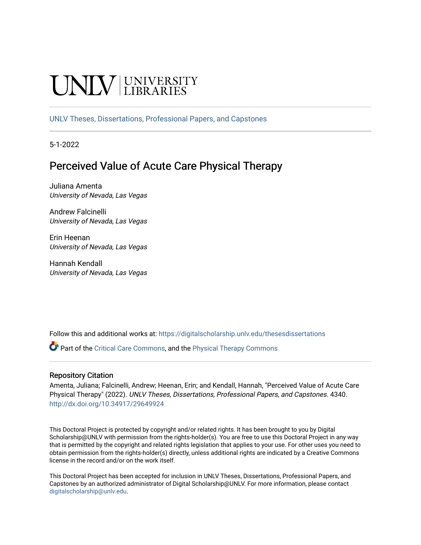# **INIVERSITY**

[UNLV Theses, Dissertations, Professional Papers, and Capstones](https://digitalscholarship.unlv.edu/thesesdissertations)

5-1-2022

# Perceived Value of Acute Care Physical Therapy

Juliana Amenta University of Nevada, Las Vegas

Andrew Falcinelli University of Nevada, Las Vegas

Erin Heenan University of Nevada, Las Vegas

Hannah Kendall University of Nevada, Las Vegas

Follow this and additional works at: [https://digitalscholarship.unlv.edu/thesesdissertations](https://digitalscholarship.unlv.edu/thesesdissertations?utm_source=digitalscholarship.unlv.edu%2Fthesesdissertations%2F4340&utm_medium=PDF&utm_campaign=PDFCoverPages)

Part of the [Critical Care Commons,](https://network.bepress.com/hgg/discipline/1226?utm_source=digitalscholarship.unlv.edu%2Fthesesdissertations%2F4340&utm_medium=PDF&utm_campaign=PDFCoverPages) and the [Physical Therapy Commons](https://network.bepress.com/hgg/discipline/754?utm_source=digitalscholarship.unlv.edu%2Fthesesdissertations%2F4340&utm_medium=PDF&utm_campaign=PDFCoverPages) 

## Repository Citation

Amenta, Juliana; Falcinelli, Andrew; Heenan, Erin; and Kendall, Hannah, "Perceived Value of Acute Care Physical Therapy" (2022). UNLV Theses, Dissertations, Professional Papers, and Capstones. 4340. <http://dx.doi.org/10.34917/29649924>

This Doctoral Project is protected by copyright and/or related rights. It has been brought to you by Digital Scholarship@UNLV with permission from the rights-holder(s). You are free to use this Doctoral Project in any way that is permitted by the copyright and related rights legislation that applies to your use. For other uses you need to obtain permission from the rights-holder(s) directly, unless additional rights are indicated by a Creative Commons license in the record and/or on the work itself.

This Doctoral Project has been accepted for inclusion in UNLV Theses, Dissertations, Professional Papers, and Capstones by an authorized administrator of Digital Scholarship@UNLV. For more information, please contact [digitalscholarship@unlv.edu](mailto:digitalscholarship@unlv.edu).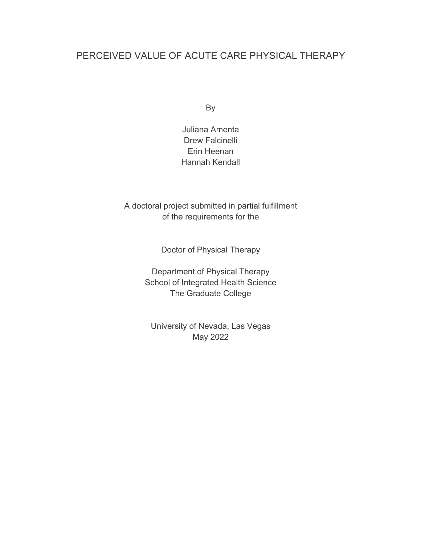# PERCEIVED VALUE OF ACUTE CARE PHYSICAL THERAPY

By

Juliana Amenta Drew Falcinelli Erin Heenan Hannah Kendall

A doctoral project submitted in partial fulfillment of the requirements for the

Doctor of Physical Therapy

Department of Physical Therapy School of Integrated Health Science The Graduate College

University of Nevada, Las Vegas May 2022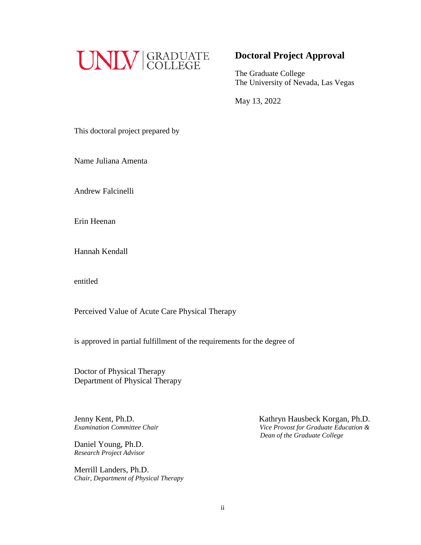

# **Doctoral Project Approval**

The Graduate College The University of Nevada, Las Vegas

May 13, 2022

This doctoral project prepared by

Name Juliana Amenta

Andrew Falcinelli

Erin Heenan

Hannah Kendall

entitled

Perceived Value of Acute Care Physical Therapy

is approved in partial fulfillment of the requirements for the degree of

Doctor of Physical Therapy Department of Physical Therapy

Jenny Kent, Ph.D.

Daniel Young, Ph.D. *Research Project Advisor*

Merrill Landers, Ph.D. *Chair, Department of Physical Therapy*

Jenny Kent, Ph.D.<br>*Examination Committee Chair* **Examination Committee Chair** *Since Provost for Graduate Education & Examination Committee Chair Vice Provost for Graduate Education & Dean of the Graduate College*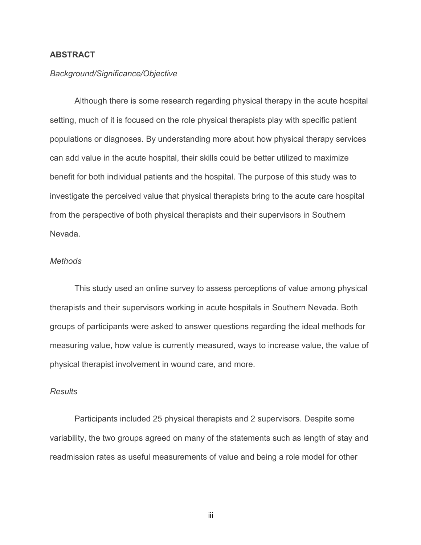# **ABSTRACT**

### *Background/Significance/Objective*

Although there is some research regarding physical therapy in the acute hospital setting, much of it is focused on the role physical therapists play with specific patient populations or diagnoses. By understanding more about how physical therapy services can add value in the acute hospital, their skills could be better utilized to maximize benefit for both individual patients and the hospital. The purpose of this study was to investigate the perceived value that physical therapists bring to the acute care hospital from the perspective of both physical therapists and their supervisors in Southern Nevada.

# *Methods*

This study used an online survey to assess perceptions of value among physical therapists and their supervisors working in acute hospitals in Southern Nevada. Both groups of participants were asked to answer questions regarding the ideal methods for measuring value, how value is currently measured, ways to increase value, the value of physical therapist involvement in wound care, and more.

# *Results*

Participants included 25 physical therapists and 2 supervisors. Despite some variability, the two groups agreed on many of the statements such as length of stay and readmission rates as useful measurements of value and being a role model for other

iii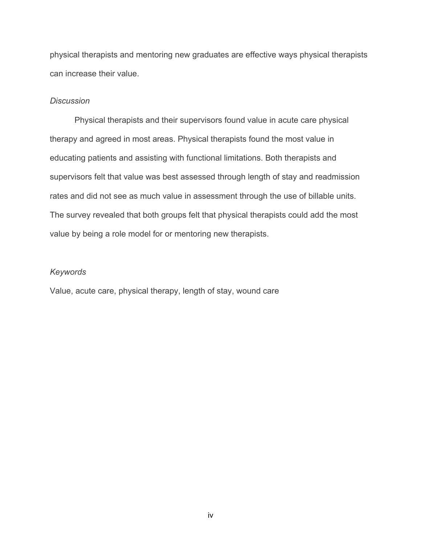physical therapists and mentoring new graduates are effective ways physical therapists can increase their value.

# *Discussion*

Physical therapists and their supervisors found value in acute care physical therapy and agreed in most areas. Physical therapists found the most value in educating patients and assisting with functional limitations. Both therapists and supervisors felt that value was best assessed through length of stay and readmission rates and did not see as much value in assessment through the use of billable units. The survey revealed that both groups felt that physical therapists could add the most value by being a role model for or mentoring new therapists.

# *Keywords*

Value, acute care, physical therapy, length of stay, wound care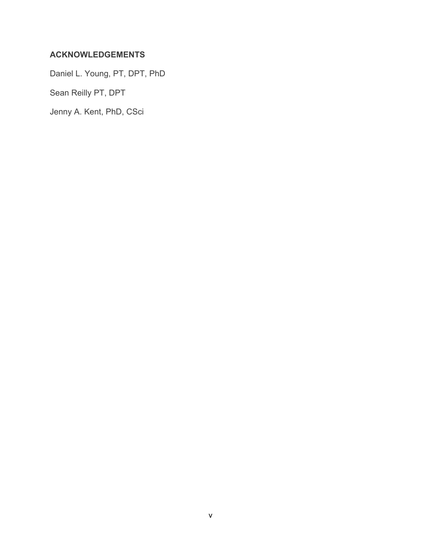# **ACKNOWLEDGEMENTS**

Daniel L. Young, PT, DPT, PhD

Sean Reilly PT, DPT

Jenny A. Kent, PhD, CSci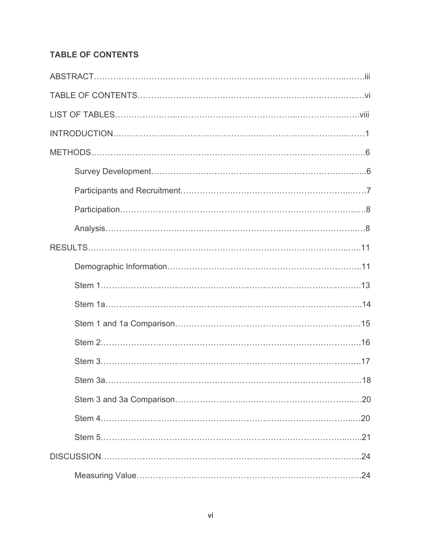# **TABLE OF CONTENTS**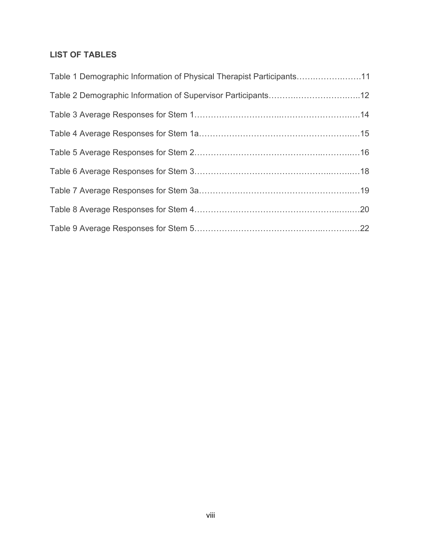# **LIST OF TABLES**

| Table 1 Demographic Information of Physical Therapist Participants11 |  |
|----------------------------------------------------------------------|--|
| Table 2 Demographic Information of Supervisor Participants12         |  |
|                                                                      |  |
|                                                                      |  |
|                                                                      |  |
|                                                                      |  |
|                                                                      |  |
|                                                                      |  |
|                                                                      |  |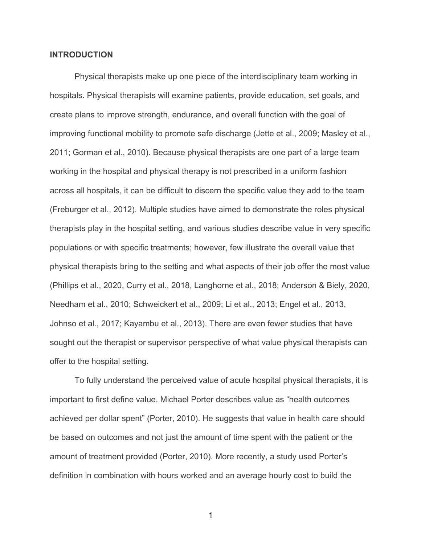### **INTRODUCTION**

Physical therapists make up one piece of the interdisciplinary team working in hospitals. Physical therapists will examine patients, provide education, set goals, and create plans to improve strength, endurance, and overall function with the goal of improving functional mobility to promote safe discharge (Jette et al., 2009; Masley et al., 2011; Gorman et al., 2010). Because physical therapists are one part of a large team working in the hospital and physical therapy is not prescribed in a uniform fashion across all hospitals, it can be difficult to discern the specific value they add to the team (Freburger et al., 2012). Multiple studies have aimed to demonstrate the roles physical therapists play in the hospital setting, and various studies describe value in very specific populations or with specific treatments; however, few illustrate the overall value that physical therapists bring to the setting and what aspects of their job offer the most value (Phillips et al., 2020, Curry et al., 2018, Langhorne et al., 2018; Anderson & Biely, 2020, Needham et al., 2010; Schweickert et al., 2009; Li et al., 2013; Engel et al., 2013, Johnso et al., 2017; Kayambu et al., 2013). There are even fewer studies that have sought out the therapist or supervisor perspective of what value physical therapists can offer to the hospital setting.

To fully understand the perceived value of acute hospital physical therapists, it is important to first define value. Michael Porter describes value as "health outcomes achieved per dollar spent" (Porter, 2010). He suggests that value in health care should be based on outcomes and not just the amount of time spent with the patient or the amount of treatment provided (Porter, 2010). More recently, a study used Porter's definition in combination with hours worked and an average hourly cost to build the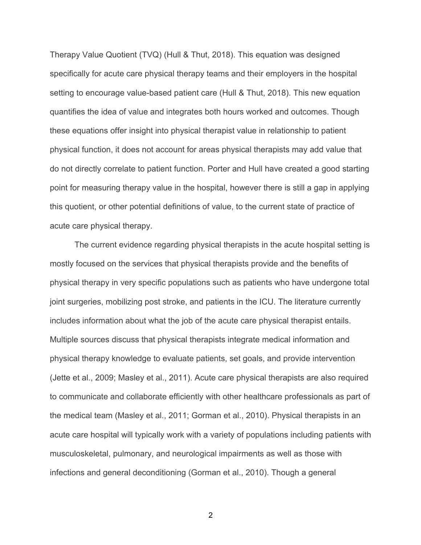Therapy Value Quotient (TVQ) (Hull & Thut, 2018). This equation was designed specifically for acute care physical therapy teams and their employers in the hospital setting to encourage value-based patient care (Hull & Thut, 2018). This new equation quantifies the idea of value and integrates both hours worked and outcomes. Though these equations offer insight into physical therapist value in relationship to patient physical function, it does not account for areas physical therapists may add value that do not directly correlate to patient function. Porter and Hull have created a good starting point for measuring therapy value in the hospital, however there is still a gap in applying this quotient, or other potential definitions of value, to the current state of practice of acute care physical therapy.

The current evidence regarding physical therapists in the acute hospital setting is mostly focused on the services that physical therapists provide and the benefits of physical therapy in very specific populations such as patients who have undergone total joint surgeries, mobilizing post stroke, and patients in the ICU. The literature currently includes information about what the job of the acute care physical therapist entails. Multiple sources discuss that physical therapists integrate medical information and physical therapy knowledge to evaluate patients, set goals, and provide intervention (Jette et al., 2009; Masley et al., 2011). Acute care physical therapists are also required to communicate and collaborate efficiently with other healthcare professionals as part of the medical team (Masley et al., 2011; Gorman et al., 2010). Physical therapists in an acute care hospital will typically work with a variety of populations including patients with musculoskeletal, pulmonary, and neurological impairments as well as those with infections and general deconditioning (Gorman et al., 2010). Though a general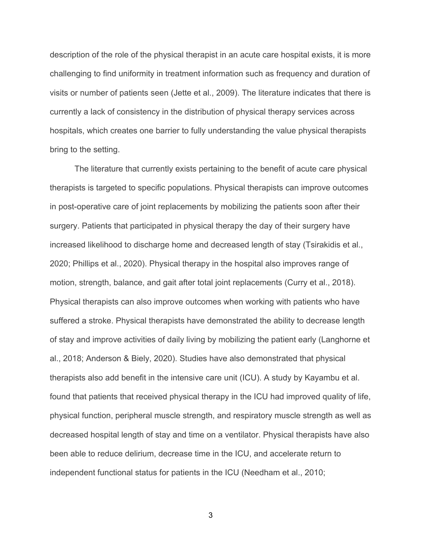description of the role of the physical therapist in an acute care hospital exists, it is more challenging to find uniformity in treatment information such as frequency and duration of visits or number of patients seen (Jette et al., 2009). The literature indicates that there is currently a lack of consistency in the distribution of physical therapy services across hospitals, which creates one barrier to fully understanding the value physical therapists bring to the setting.

The literature that currently exists pertaining to the benefit of acute care physical therapists is targeted to specific populations. Physical therapists can improve outcomes in post-operative care of joint replacements by mobilizing the patients soon after their surgery. Patients that participated in physical therapy the day of their surgery have increased likelihood to discharge home and decreased length of stay (Tsirakidis et al., 2020; Phillips et al., 2020). Physical therapy in the hospital also improves range of motion, strength, balance, and gait after total joint replacements (Curry et al., 2018). Physical therapists can also improve outcomes when working with patients who have suffered a stroke. Physical therapists have demonstrated the ability to decrease length of stay and improve activities of daily living by mobilizing the patient early (Langhorne et al., 2018; Anderson & Biely, 2020). Studies have also demonstrated that physical therapists also add benefit in the intensive care unit (ICU). A study by Kayambu et al. found that patients that received physical therapy in the ICU had improved quality of life, physical function, peripheral muscle strength, and respiratory muscle strength as well as decreased hospital length of stay and time on a ventilator. Physical therapists have also been able to reduce delirium, decrease time in the ICU, and accelerate return to independent functional status for patients in the ICU (Needham et al., 2010;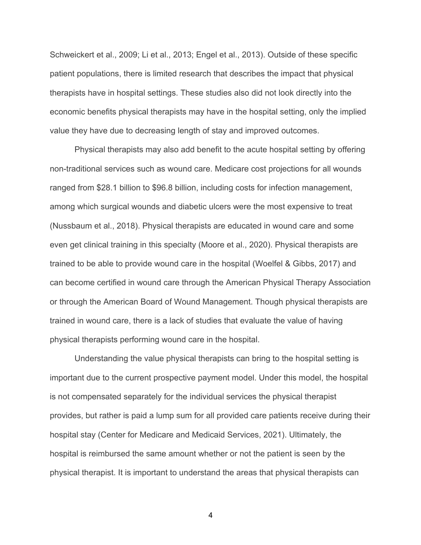Schweickert et al., 2009; Li et al., 2013; Engel et al., 2013). Outside of these specific patient populations, there is limited research that describes the impact that physical therapists have in hospital settings. These studies also did not look directly into the economic benefits physical therapists may have in the hospital setting, only the implied value they have due to decreasing length of stay and improved outcomes.

Physical therapists may also add benefit to the acute hospital setting by offering non-traditional services such as wound care. Medicare cost projections for all wounds ranged from \$28.1 billion to \$96.8 billion, including costs for infection management, among which surgical wounds and diabetic ulcers were the most expensive to treat (Nussbaum et al., 2018). Physical therapists are educated in wound care and some even get clinical training in this specialty (Moore et al., 2020). Physical therapists are trained to be able to provide wound care in the hospital (Woelfel & Gibbs, 2017) and can become certified in wound care through the American Physical Therapy Association or through the American Board of Wound Management. Though physical therapists are trained in wound care, there is a lack of studies that evaluate the value of having physical therapists performing wound care in the hospital.

Understanding the value physical therapists can bring to the hospital setting is important due to the current prospective payment model. Under this model, the hospital is not compensated separately for the individual services the physical therapist provides, but rather is paid a lump sum for all provided care patients receive during their hospital stay (Center for Medicare and Medicaid Services, 2021). Ultimately, the hospital is reimbursed the same amount whether or not the patient is seen by the physical therapist. It is important to understand the areas that physical therapists can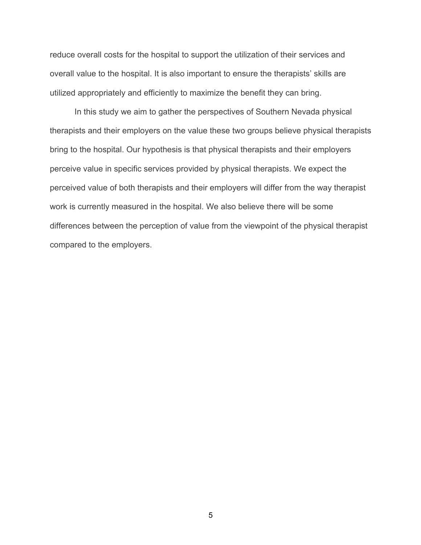reduce overall costs for the hospital to support the utilization of their services and overall value to the hospital. It is also important to ensure the therapists' skills are utilized appropriately and efficiently to maximize the benefit they can bring.

In this study we aim to gather the perspectives of Southern Nevada physical therapists and their employers on the value these two groups believe physical therapists bring to the hospital. Our hypothesis is that physical therapists and their employers perceive value in specific services provided by physical therapists. We expect the perceived value of both therapists and their employers will differ from the way therapist work is currently measured in the hospital. We also believe there will be some differences between the perception of value from the viewpoint of the physical therapist compared to the employers.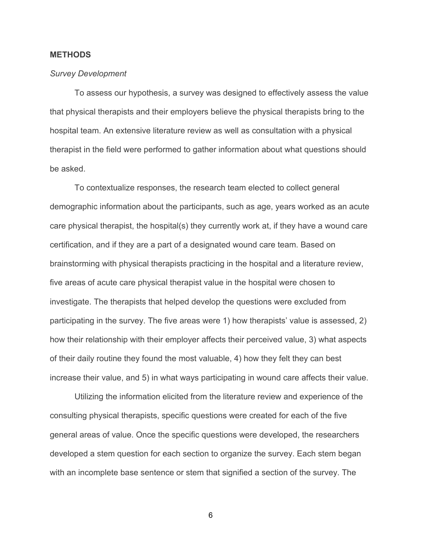## **METHODS**

### *Survey Development*

To assess our hypothesis, a survey was designed to effectively assess the value that physical therapists and their employers believe the physical therapists bring to the hospital team. An extensive literature review as well as consultation with a physical therapist in the field were performed to gather information about what questions should be asked.

To contextualize responses, the research team elected to collect general demographic information about the participants, such as age, years worked as an acute care physical therapist, the hospital(s) they currently work at, if they have a wound care certification, and if they are a part of a designated wound care team. Based on brainstorming with physical therapists practicing in the hospital and a literature review, five areas of acute care physical therapist value in the hospital were chosen to investigate. The therapists that helped develop the questions were excluded from participating in the survey. The five areas were 1) how therapists' value is assessed, 2) how their relationship with their employer affects their perceived value, 3) what aspects of their daily routine they found the most valuable, 4) how they felt they can best increase their value, and 5) in what ways participating in wound care affects their value.

Utilizing the information elicited from the literature review and experience of the consulting physical therapists, specific questions were created for each of the five general areas of value. Once the specific questions were developed, the researchers developed a stem question for each section to organize the survey. Each stem began with an incomplete base sentence or stem that signified a section of the survey. The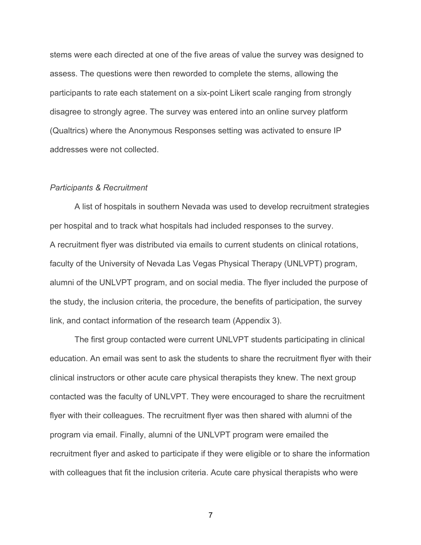stems were each directed at one of the five areas of value the survey was designed to assess. The questions were then reworded to complete the stems, allowing the participants to rate each statement on a six-point Likert scale ranging from strongly disagree to strongly agree. The survey was entered into an online survey platform (Qualtrics) where the Anonymous Responses setting was activated to ensure IP addresses were not collected.

### *Participants & Recruitment*

A list of hospitals in southern Nevada was used to develop recruitment strategies per hospital and to track what hospitals had included responses to the survey. A recruitment flyer was distributed via emails to current students on clinical rotations, faculty of the University of Nevada Las Vegas Physical Therapy (UNLVPT) program, alumni of the UNLVPT program, and on social media. The flyer included the purpose of the study, the inclusion criteria, the procedure, the benefits of participation, the survey link, and contact information of the research team (Appendix 3).

The first group contacted were current UNLVPT students participating in clinical education. An email was sent to ask the students to share the recruitment flyer with their clinical instructors or other acute care physical therapists they knew. The next group contacted was the faculty of UNLVPT. They were encouraged to share the recruitment flyer with their colleagues. The recruitment flyer was then shared with alumni of the program via email. Finally, alumni of the UNLVPT program were emailed the recruitment flyer and asked to participate if they were eligible or to share the information with colleagues that fit the inclusion criteria. Acute care physical therapists who were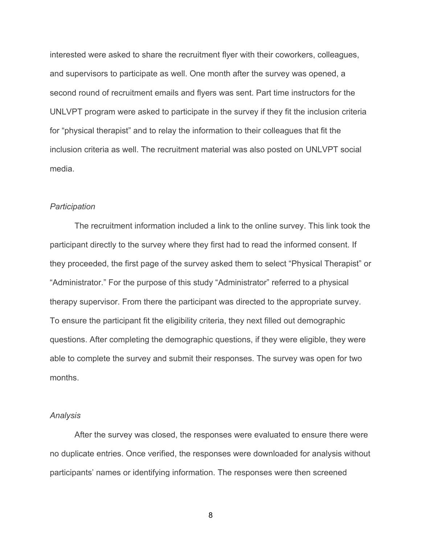interested were asked to share the recruitment flyer with their coworkers, colleagues, and supervisors to participate as well. One month after the survey was opened, a second round of recruitment emails and flyers was sent. Part time instructors for the UNLVPT program were asked to participate in the survey if they fit the inclusion criteria for "physical therapist" and to relay the information to their colleagues that fit the inclusion criteria as well. The recruitment material was also posted on UNLVPT social media.

### *Participation*

The recruitment information included a link to the online survey. This link took the participant directly to the survey where they first had to read the informed consent. If they proceeded, the first page of the survey asked them to select "Physical Therapist" or "Administrator." For the purpose of this study "Administrator" referred to a physical therapy supervisor. From there the participant was directed to the appropriate survey. To ensure the participant fit the eligibility criteria, they next filled out demographic questions. After completing the demographic questions, if they were eligible, they were able to complete the survey and submit their responses. The survey was open for two months.

# *Analysis*

After the survey was closed, the responses were evaluated to ensure there were no duplicate entries. Once verified, the responses were downloaded for analysis without participants' names or identifying information. The responses were then screened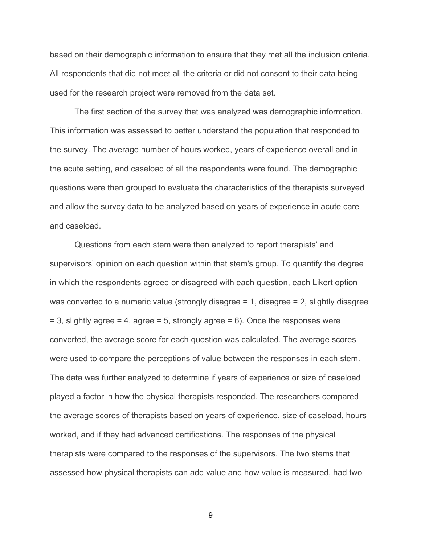based on their demographic information to ensure that they met all the inclusion criteria. All respondents that did not meet all the criteria or did not consent to their data being used for the research project were removed from the data set.

The first section of the survey that was analyzed was demographic information. This information was assessed to better understand the population that responded to the survey. The average number of hours worked, years of experience overall and in the acute setting, and caseload of all the respondents were found. The demographic questions were then grouped to evaluate the characteristics of the therapists surveyed and allow the survey data to be analyzed based on years of experience in acute care and caseload.

Questions from each stem were then analyzed to report therapists' and supervisors' opinion on each question within that stem's group. To quantify the degree in which the respondents agreed or disagreed with each question, each Likert option was converted to a numeric value (strongly disagree  $= 1$ , disagree  $= 2$ , slightly disagree  $= 3$ , slightly agree  $= 4$ , agree  $= 5$ , strongly agree  $= 6$ ). Once the responses were converted, the average score for each question was calculated. The average scores were used to compare the perceptions of value between the responses in each stem. The data was further analyzed to determine if years of experience or size of caseload played a factor in how the physical therapists responded. The researchers compared the average scores of therapists based on years of experience, size of caseload, hours worked, and if they had advanced certifications. The responses of the physical therapists were compared to the responses of the supervisors. The two stems that assessed how physical therapists can add value and how value is measured, had two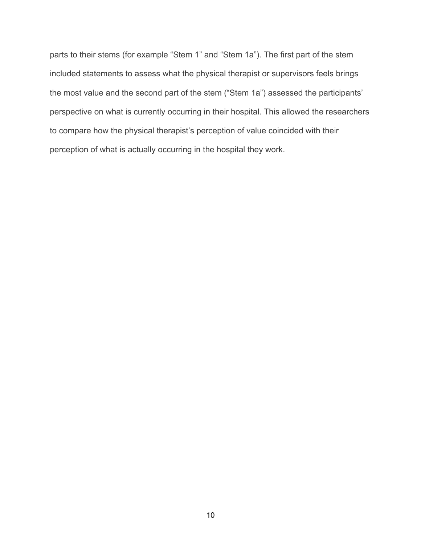parts to their stems (for example "Stem 1" and "Stem 1a"). The first part of the stem included statements to assess what the physical therapist or supervisors feels brings the most value and the second part of the stem ("Stem 1a") assessed the participants' perspective on what is currently occurring in their hospital. This allowed the researchers to compare how the physical therapist's perception of value coincided with their perception of what is actually occurring in the hospital they work.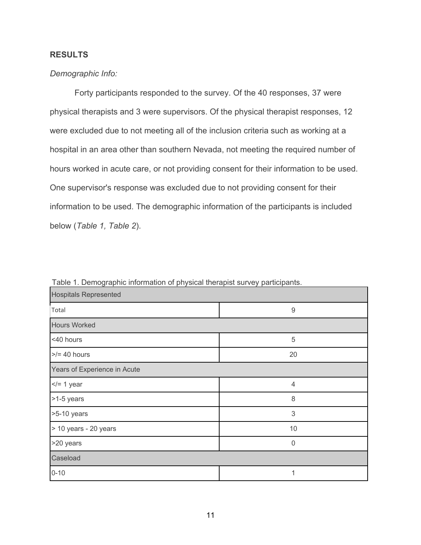# **RESULTS**

# *Demographic Info:*

Forty participants responded to the survey. Of the 40 responses, 37 were physical therapists and 3 were supervisors. Of the physical therapist responses, 12 were excluded due to not meeting all of the inclusion criteria such as working at a hospital in an area other than southern Nevada, not meeting the required number of hours worked in acute care, or not providing consent for their information to be used. One supervisor's response was excluded due to not providing consent for their information to be used. The demographic information of the participants is included below (*Table 1, Table 2*).

| <b>Hospitals Represented</b> |          |  |  |  |  |  |
|------------------------------|----------|--|--|--|--|--|
| Total                        | 9        |  |  |  |  |  |
| <b>Hours Worked</b>          |          |  |  |  |  |  |
| <40 hours                    | 5        |  |  |  |  |  |
| $>$ /= 40 hours              | 20       |  |  |  |  |  |
| Years of Experience in Acute |          |  |  |  |  |  |
| $\le$ /= 1 year              | 4        |  |  |  |  |  |
| >1-5 years                   | 8        |  |  |  |  |  |
| >5-10 years                  | 3        |  |  |  |  |  |
| > 10 years - 20 years        | 10       |  |  |  |  |  |
| >20 years                    | $\Omega$ |  |  |  |  |  |
| Caseload                     |          |  |  |  |  |  |
| $0 - 10$                     | 1        |  |  |  |  |  |

Table 1. Demographic information of physical therapist survey participants.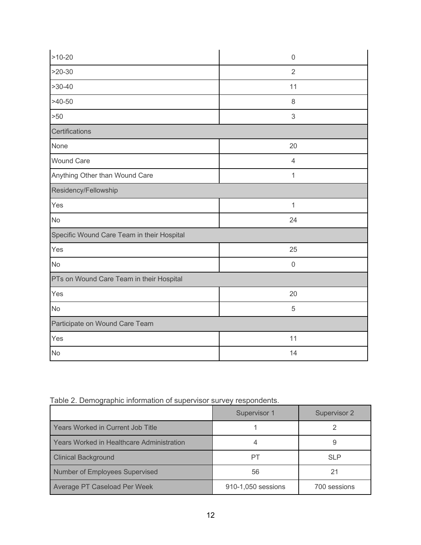| $>10-20$                                   | $\mathbf 0$    |  |  |  |
|--------------------------------------------|----------------|--|--|--|
| $>20-30$                                   | $\overline{2}$ |  |  |  |
| $>30-40$                                   | 11             |  |  |  |
| $>40-50$                                   | 8              |  |  |  |
| >50                                        | $\sqrt{3}$     |  |  |  |
| Certifications                             |                |  |  |  |
| None                                       | 20             |  |  |  |
| <b>Wound Care</b>                          | $\overline{4}$ |  |  |  |
| Anything Other than Wound Care             | $\mathbf{1}$   |  |  |  |
| Residency/Fellowship                       |                |  |  |  |
| Yes                                        | $\mathbf{1}$   |  |  |  |
| <b>No</b>                                  | 24             |  |  |  |
| Specific Wound Care Team in their Hospital |                |  |  |  |
| Yes                                        | 25             |  |  |  |
| <b>No</b>                                  | $\mathbf 0$    |  |  |  |
| PTs on Wound Care Team in their Hospital   |                |  |  |  |
| Yes                                        | 20             |  |  |  |
| <b>No</b>                                  | 5              |  |  |  |
| Participate on Wound Care Team             |                |  |  |  |
| Yes                                        | 11             |  |  |  |
| <b>No</b>                                  | 14             |  |  |  |

| Table 2. Demographic information of supervisor survey respondents. |  |  |  |
|--------------------------------------------------------------------|--|--|--|
|                                                                    |  |  |  |
|                                                                    |  |  |  |

|                                           | Supervisor 1       | Supervisor 2 |
|-------------------------------------------|--------------------|--------------|
| Years Worked in Current Job Title         |                    |              |
| Years Worked in Healthcare Administration |                    |              |
| <b>Clinical Background</b>                | PТ                 | <b>SLP</b>   |
| Number of Employees Supervised            | 56                 | 21           |
| Average PT Caseload Per Week              | 910-1,050 sessions | 700 sessions |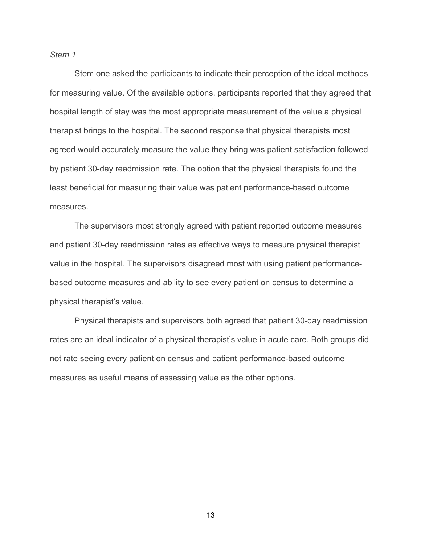*Stem 1*

Stem one asked the participants to indicate their perception of the ideal methods for measuring value. Of the available options, participants reported that they agreed that hospital length of stay was the most appropriate measurement of the value a physical therapist brings to the hospital. The second response that physical therapists most agreed would accurately measure the value they bring was patient satisfaction followed by patient 30-day readmission rate. The option that the physical therapists found the least beneficial for measuring their value was patient performance-based outcome measures.

The supervisors most strongly agreed with patient reported outcome measures and patient 30-day readmission rates as effective ways to measure physical therapist value in the hospital. The supervisors disagreed most with using patient performancebased outcome measures and ability to see every patient on census to determine a physical therapist's value.

Physical therapists and supervisors both agreed that patient 30-day readmission rates are an ideal indicator of a physical therapist's value in acute care. Both groups did not rate seeing every patient on census and patient performance-based outcome measures as useful means of assessing value as the other options.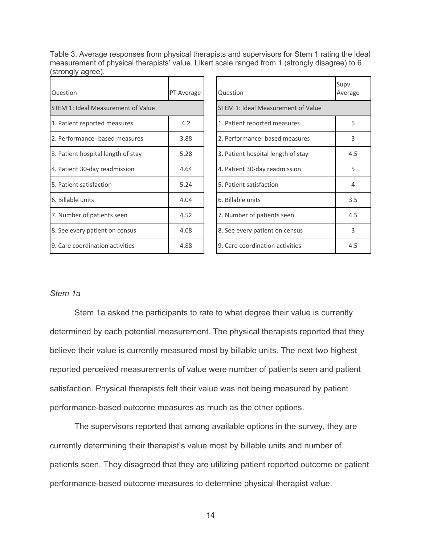Table 3. Average responses from physical therapists and supervisors for Stem 1 rating the ideal measurement of physical therapists' value. Likert scale ranged from 1 (strongly disagree) to 6 (strongly agree).

| Question                           | PT Average | Question                           | Supv<br>Average |
|------------------------------------|------------|------------------------------------|-----------------|
| STEM 1: Ideal Measurement of Value |            | STEM 1: Ideal Measurement of Value |                 |
| 1. Patient reported measures       | 4.2        | 1. Patient reported measures       | 5.              |
| 2. Performance- based measures     | 3.88       | 2. Performance- based measures     | 3               |
| 3. Patient hospital length of stay | 5.28       | 3. Patient hospital length of stay | 4.5             |
| 4. Patient 30-day readmission      | 4.64       | 4. Patient 30-day readmission      | 5               |
| 5. Patient satisfaction            | 5.24       | 5. Patient satisfaction            | 4               |
| 6. Billable units                  | 4.04       | 6. Billable units                  | 3.5             |
| 7. Number of patients seen         | 4.52       | 7. Number of patients seen         | 4.5             |
| 8. See every patient on census     | 4.08       | 8. See every patient on census     | 3               |
| 9. Care coordination activities    | 4.88       | 9. Care coordination activities    | 4.5             |

| Question                           | Supv<br>Average |
|------------------------------------|-----------------|
| STEM 1: Ideal Measurement of Value |                 |
| 1. Patient reported measures       | 5               |
| 2. Performance- based measures     | 3               |
| 3. Patient hospital length of stay | 4.5             |
| 4. Patient 30-day readmission      | 5               |
| 5. Patient satisfaction            | 4               |
| 6. Billable units                  | 3.5             |
| 7. Number of patients seen         | 4.5             |
| 8. See every patient on census     | 3               |
| 9. Care coordination activities    | 4.5             |

# *Stem 1a*

Stem 1a asked the participants to rate to what degree their value is currently determined by each potential measurement. The physical therapists reported that they believe their value is currently measured most by billable units. The next two highest reported perceived measurements of value were number of patients seen and patient satisfaction. Physical therapists felt their value was not being measured by patient performance-based outcome measures as much as the other options.

The supervisors reported that among available options in the survey, they are currently determining their therapist's value most by billable units and number of patients seen. They disagreed that they are utilizing patient reported outcome or patient performance-based outcome measures to determine physical therapist value.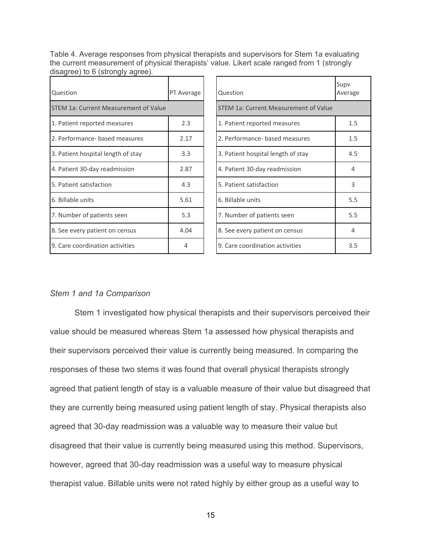Table 4. Average responses from physical therapists and supervisors for Stem 1a evaluating the current measurement of physical therapists' value. Likert scale ranged from 1 (strongly disagree) to 6 (strongly agree).

| Question                                     | PT Average | Question                              | Supv<br>Average |
|----------------------------------------------|------------|---------------------------------------|-----------------|
| <b>STEM 1a: Current Measurement of Value</b> |            | STEM 1a: Current Measurement of Value |                 |
| 1. Patient reported measures                 | 2.3        | 1. Patient reported measures          | 1.5             |
| 2. Performance- based measures               | 2.17       | 2. Performance- based measures        | 1.5             |
| 3. Patient hospital length of stay           | 3.3        | 3. Patient hospital length of stay    | 4.5             |
| 4. Patient 30-day readmission                | 2.87       | 4. Patient 30-day readmission         | $\overline{a}$  |
| 5. Patient satisfaction                      | 4.3        | 5. Patient satisfaction               | 3               |
| 6. Billable units                            | 5.61       | 6. Billable units                     | 5.5             |
| 7. Number of patients seen                   | 5.3        | 7. Number of patients seen            | 5.5             |
| 8. See every patient on census               | 4.04       | 8. See every patient on census        | 4               |
| 9. Care coordination activities              | 4          | 9. Care coordination activities       | 3.5             |

| Question                              | Supv<br>Average |
|---------------------------------------|-----------------|
| STEM 1a: Current Measurement of Value |                 |
| 1. Patient reported measures          | $1.5\,$         |
| 2. Performance- based measures        | 1.5             |
| 3. Patient hospital length of stay    | 4.5             |
| 4. Patient 30-day readmission         | 4               |
| 5. Patient satisfaction               | 3               |
| 6. Billable units                     | 5.5             |
| 7. Number of patients seen            | 5.5             |
| 8. See every patient on census        | 4               |
| 9. Care coordination activities       | 3.5             |

# *Stem 1 and 1a Comparison*

Stem 1 investigated how physical therapists and their supervisors perceived their value should be measured whereas Stem 1a assessed how physical therapists and their supervisors perceived their value is currently being measured. In comparing the responses of these two stems it was found that overall physical therapists strongly agreed that patient length of stay is a valuable measure of their value but disagreed that they are currently being measured using patient length of stay. Physical therapists also agreed that 30-day readmission was a valuable way to measure their value but disagreed that their value is currently being measured using this method. Supervisors, however, agreed that 30-day readmission was a useful way to measure physical therapist value. Billable units were not rated highly by either group as a useful way to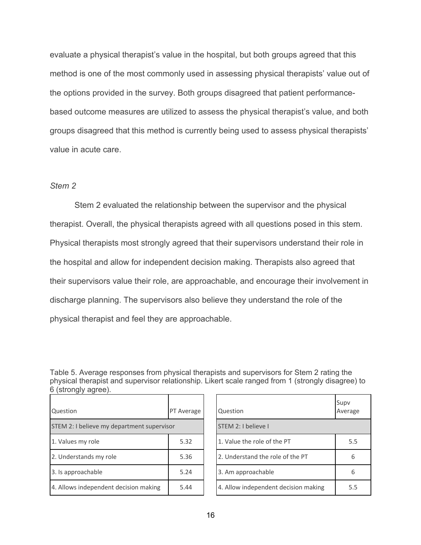evaluate a physical therapist's value in the hospital, but both groups agreed that this method is one of the most commonly used in assessing physical therapists' value out of the options provided in the survey. Both groups disagreed that patient performancebased outcome measures are utilized to assess the physical therapist's value, and both groups disagreed that this method is currently being used to assess physical therapists' value in acute care.

# *Stem 2*

Stem 2 evaluated the relationship between the supervisor and the physical therapist. Overall, the physical therapists agreed with all questions posed in this stem. Physical therapists most strongly agreed that their supervisors understand their role in the hospital and allow for independent decision making. Therapists also agreed that their supervisors value their role, are approachable, and encourage their involvement in discharge planning. The supervisors also believe they understand the role of the physical therapist and feel they are approachable.

Table 5. Average responses from physical therapists and supervisors for Stem 2 rating the physical therapist and supervisor relationship. Likert scale ranged from 1 (strongly disagree) to 6 (strongly agree).

| Question                                   | PT Average | Question                             | Supv<br>Average |
|--------------------------------------------|------------|--------------------------------------|-----------------|
| STEM 2: I believe my department supervisor |            | STEM 2: I believe I                  |                 |
| 1. Values my role                          | 5.32       | 1. Value the role of the PT          | 5.5             |
| 2. Understands my role                     | 5.36       | 2. Understand the role of the PT     | 6               |
| 3. Is approachable                         | 5.24       | 3. Am approachable                   | 6               |
| 4. Allows independent decision making      | 5.44       | 4. Allow independent decision making | 5.5             |

| Question                             | Supv<br>Average |
|--------------------------------------|-----------------|
| STEM 2: I believe I                  |                 |
| 1. Value the role of the PT          | 5.5             |
| 2. Understand the role of the PT     | 6               |
| 3. Am approachable                   | 6               |
| 4. Allow independent decision making | 5.5             |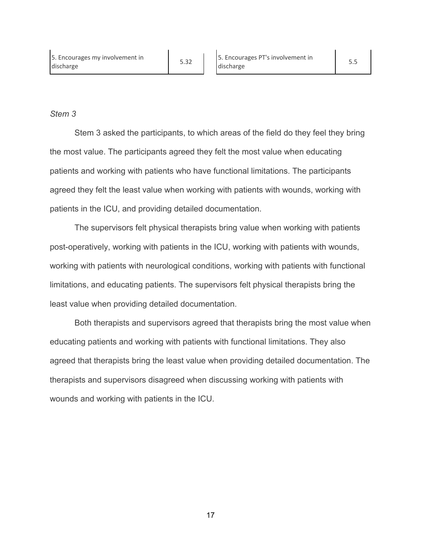# *Stem 3*

Stem 3 asked the participants, to which areas of the field do they feel they bring the most value. The participants agreed they felt the most value when educating patients and working with patients who have functional limitations. The participants agreed they felt the least value when working with patients with wounds, working with patients in the ICU, and providing detailed documentation.

The supervisors felt physical therapists bring value when working with patients post-operatively, working with patients in the ICU, working with patients with wounds, working with patients with neurological conditions, working with patients with functional limitations, and educating patients. The supervisors felt physical therapists bring the least value when providing detailed documentation.

Both therapists and supervisors agreed that therapists bring the most value when educating patients and working with patients with functional limitations. They also agreed that therapists bring the least value when providing detailed documentation. The therapists and supervisors disagreed when discussing working with patients with wounds and working with patients in the ICU.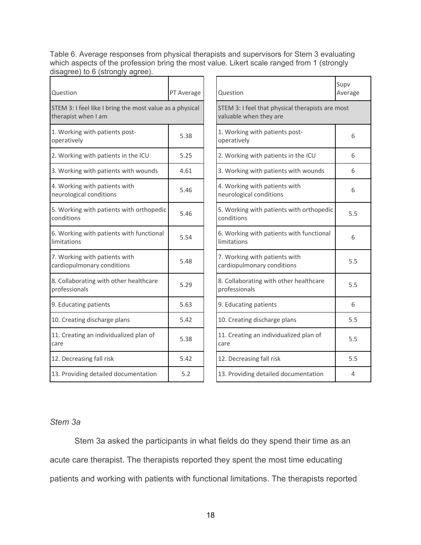Table 6. Average responses from physical therapists and supervisors for Stem 3 evaluating which aspects of the profession bring the most value. Likert scale ranged from 1 (strongly disagree) to 6 (strongly agree).

| Question                                                                        | PT Average | Question                                                                   | Supv<br>Average |
|---------------------------------------------------------------------------------|------------|----------------------------------------------------------------------------|-----------------|
| STEM 3: I feel like I bring the most value as a physical<br>therapist when I am |            | STEM 3: I feel that physical therapists are most<br>valuable when they are |                 |
| 1. Working with patients post-<br>operatively                                   | 5.38       | 1. Working with patients post-<br>operatively                              | 6               |
| 2. Working with patients in the ICU                                             | 5.25       | 2. Working with patients in the ICU                                        | 6               |
| 3. Working with patients with wounds                                            | 4.61       | 3. Working with patients with wounds                                       | 6               |
| 4. Working with patients with<br>neurological conditions                        | 5.46       | 4. Working with patients with<br>neurological conditions                   | 6               |
| 5. Working with patients with orthopedic<br>conditions                          | 5.46       | 5. Working with patients with orthopedic<br>conditions                     | 5.5             |
| 6. Working with patients with functional<br>limitations                         | 5.54       | 6. Working with patients with functional<br>limitations                    | 6               |
| 7. Working with patients with<br>cardiopulmonary conditions                     | 5.48       | 7. Working with patients with<br>cardiopulmonary conditions                | 5.5             |
| 8. Collaborating with other healthcare<br>professionals                         | 5.29       | 8. Collaborating with other healthcare<br>professionals                    | 5.5             |
| 9. Educating patients                                                           | 5.63       | 9. Educating patients                                                      | 6               |
| 10. Creating discharge plans                                                    | 5.42       | 10. Creating discharge plans                                               | 5.5             |
| 11. Creating an individualized plan of<br>care                                  | 5.38       | 11. Creating an individualized plan of<br>care                             | 5.5             |
| 12. Decreasing fall risk                                                        | 5.42       | 12. Decreasing fall risk                                                   | 5.5             |
| 13. Providing detailed documentation                                            | 5.2        | 13. Providing detailed documentation                                       | 4               |

# 1. Working with patients post-<br>operatively 6 neurological conditions 6 s. Working with patients with orthopedic 5.5 dimitations 6 cardiopulmonary conditions 5.5 professionals with other nearthcare 5.5 d plan of 5.5

Supv Average

# *Stem 3a*

Stem 3a asked the participants in what fields do they spend their time as an acute care therapist. The therapists reported they spent the most time educating patients and working with patients with functional limitations. The therapists reported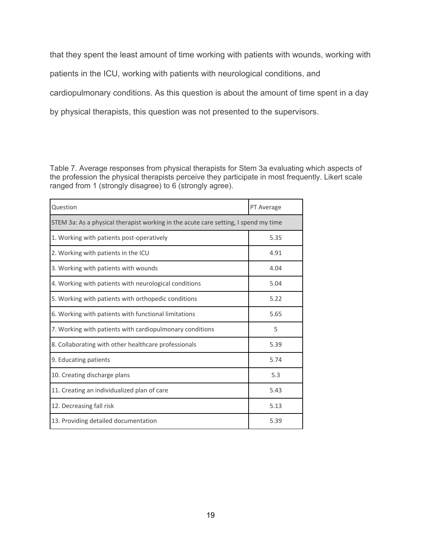that they spent the least amount of time working with patients with wounds, working with patients in the ICU, working with patients with neurological conditions, and cardiopulmonary conditions. As this question is about the amount of time spent in a day by physical therapists, this question was not presented to the supervisors.

Table 7. Average responses from physical therapists for Stem 3a evaluating which aspects of the profession the physical therapists perceive they participate in most frequently. Likert scale ranged from 1 (strongly disagree) to 6 (strongly agree).

| Question                                                                            | PT Average |  |  |  |
|-------------------------------------------------------------------------------------|------------|--|--|--|
| STEM 3a: As a physical therapist working in the acute care setting, I spend my time |            |  |  |  |
| 1. Working with patients post-operatively                                           | 5.35       |  |  |  |
| 2. Working with patients in the ICU                                                 | 4.91       |  |  |  |
| 3. Working with patients with wounds                                                | 4.04       |  |  |  |
| 4. Working with patients with neurological conditions                               | 5.04       |  |  |  |
| 5. Working with patients with orthopedic conditions                                 | 5.22       |  |  |  |
| 6. Working with patients with functional limitations                                | 5.65       |  |  |  |
| 7. Working with patients with cardiopulmonary conditions                            | 5          |  |  |  |
| 8. Collaborating with other healthcare professionals                                | 5.39       |  |  |  |
| 9. Educating patients                                                               | 5.74       |  |  |  |
| 10. Creating discharge plans                                                        | 5.3        |  |  |  |
| 11. Creating an individualized plan of care                                         | 5.43       |  |  |  |
| 12. Decreasing fall risk                                                            | 5.13       |  |  |  |
| 13. Providing detailed documentation                                                | 5.39       |  |  |  |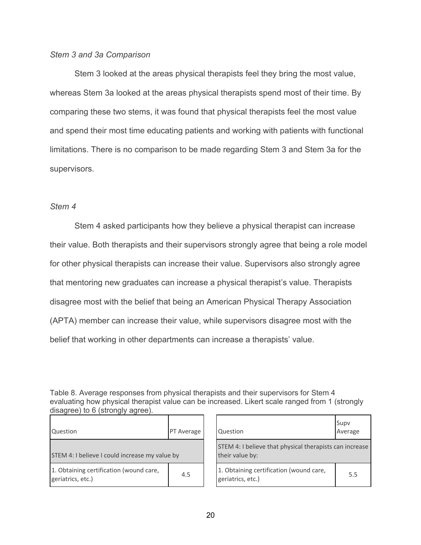# *Stem 3 and 3a Comparison*

Stem 3 looked at the areas physical therapists feel they bring the most value, whereas Stem 3a looked at the areas physical therapists spend most of their time. By comparing these two stems, it was found that physical therapists feel the most value and spend their most time educating patients and working with patients with functional limitations. There is no comparison to be made regarding Stem 3 and Stem 3a for the supervisors.

# *Stem 4*

Stem 4 asked participants how they believe a physical therapist can increase their value. Both therapists and their supervisors strongly agree that being a role model for other physical therapists can increase their value. Supervisors also strongly agree that mentoring new graduates can increase a physical therapist's value. Therapists disagree most with the belief that being an American Physical Therapy Association (APTA) member can increase their value, while supervisors disagree most with the belief that working in other departments can increase a therapists' value.

Table 8. Average responses from physical therapists and their supervisors for Stem 4 evaluating how physical therapist value can be increased. Likert scale ranged from 1 (strongly disagree) to 6 (strongly agree).

| Question                                                     | PT Average | Question                                                                   | Supv<br>Average |
|--------------------------------------------------------------|------------|----------------------------------------------------------------------------|-----------------|
| STEM 4: I believe I could increase my value by               |            | STEM 4: I believe that physical therapists can increase<br>their value by: |                 |
| 1. Obtaining certification (wound care,<br>geriatrics, etc.) | 4.5        | 1. Obtaining certification (wound care,<br>geriatrics, etc.)               | 5.5             |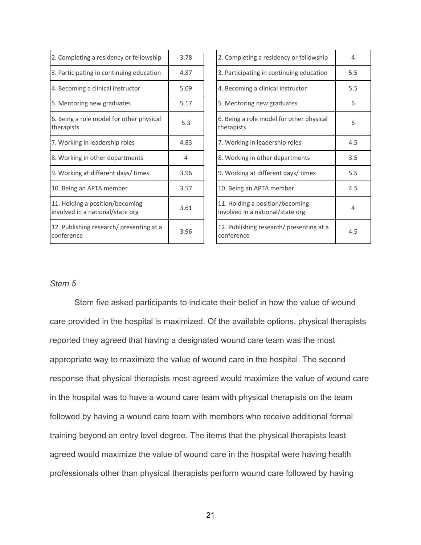| 2. Completing a residency or fellowship                             | 3.78 | 2. Completing a residency or fellowship                             | 4   |
|---------------------------------------------------------------------|------|---------------------------------------------------------------------|-----|
| 3. Participating in continuing education                            | 4.87 | 3. Participating in continuing education                            | 5.5 |
| 4. Becoming a clinical instructor                                   | 5.09 | 4. Becoming a clinical instructor                                   | 5.5 |
| 5. Mentoring new graduates                                          | 5.17 | 5. Mentoring new graduates                                          | 6   |
| 6. Being a role model for other physical<br>therapists              | 5.3  | 6. Being a role model for other physical<br>therapists              | 6   |
| 7. Working in leadership roles                                      | 4.83 | 7. Working in leadership roles                                      | 4.5 |
| 8. Working in other departments                                     | 4    | 8. Working in other departments                                     | 3.5 |
| 9. Working at different days/times                                  | 3.96 | 9. Working at different days/ times                                 | 5.5 |
| 10. Being an APTA member                                            | 3.57 | 10. Being an APTA member                                            | 4.5 |
| 11. Holding a position/becoming<br>involved in a national/state org | 3.61 | 11. Holding a position/becoming<br>involved in a national/state org | 4   |
| 12. Publishing research/ presenting at a<br>conference              | 3.96 | 12. Publishing research/ presenting at a<br>conference              | 4.5 |

# $\frac{1}{2}$  therapists  $\frac{1}{2}$  for the modern or other priyarear  $\frac{1}{2}$  6 involved in a national/state org **4** exercing researchly presenting at a 4.5

# *Stem 5*

Stem five asked participants to indicate their belief in how the value of wound care provided in the hospital is maximized. Of the available options, physical therapists reported they agreed that having a designated wound care team was the most appropriate way to maximize the value of wound care in the hospital. The second response that physical therapists most agreed would maximize the value of wound care in the hospital was to have a wound care team with physical therapists on the team followed by having a wound care team with members who receive additional formal training beyond an entry level degree. The items that the physical therapists least agreed would maximize the value of wound care in the hospital were having health professionals other than physical therapists perform wound care followed by having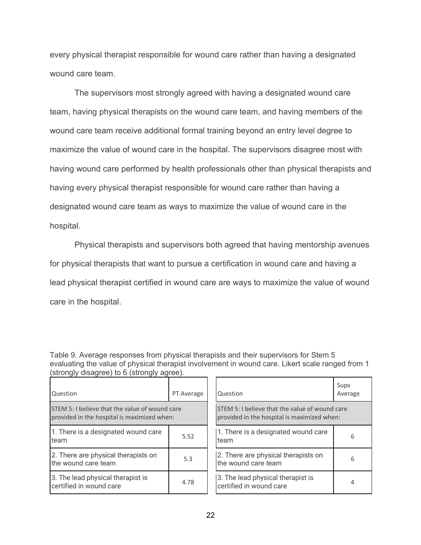every physical therapist responsible for wound care rather than having a designated wound care team.

The supervisors most strongly agreed with having a designated wound care team, having physical therapists on the wound care team, and having members of the wound care team receive additional formal training beyond an entry level degree to maximize the value of wound care in the hospital. The supervisors disagree most with having wound care performed by health professionals other than physical therapists and having every physical therapist responsible for wound care rather than having a designated wound care team as ways to maximize the value of wound care in the hospital.

Physical therapists and supervisors both agreed that having mentorship avenues for physical therapists that want to pursue a certification in wound care and having a lead physical therapist certified in wound care are ways to maximize the value of wound care in the hospital.

| Table 9. Average responses from physical therapists and their supervisors for Stem 5             |
|--------------------------------------------------------------------------------------------------|
| evaluating the value of physical therapist involvement in wound care. Likert scale ranged from 1 |
| (strongly disagree) to 6 (strongly agree).                                                       |

| Question                                                                                      | PT Average | Question                                                                             |
|-----------------------------------------------------------------------------------------------|------------|--------------------------------------------------------------------------------------|
| STEM 5: I believe that the value of wound care<br>provided in the hospital is maximized when: |            | STEM 5: I believe that the value of woun<br>provided in the hospital is maximized wh |
| 1. There is a designated wound care<br>team                                                   | 5.52       | 1. There is a designated wound care<br>team                                          |
| 2. There are physical therapists on<br>the wound care team                                    | 5.3        | 2. There are physical therapists on<br>the wound care team                           |
| 3. The lead physical therapist is<br>certified in wound care                                  | 4.78       | 3. The lead physical therapist is<br>certified in wound care                         |

| Question                                                                                      | Supv<br>Average |  |
|-----------------------------------------------------------------------------------------------|-----------------|--|
| STEM 5: I believe that the value of wound care<br>provided in the hospital is maximized when: |                 |  |
| 1. There is a designated wound care<br>team                                                   | 6               |  |
| 2. There are physical therapists on<br>the wound care team                                    | 6               |  |
| 3. The lead physical therapist is<br>certified in wound care                                  |                 |  |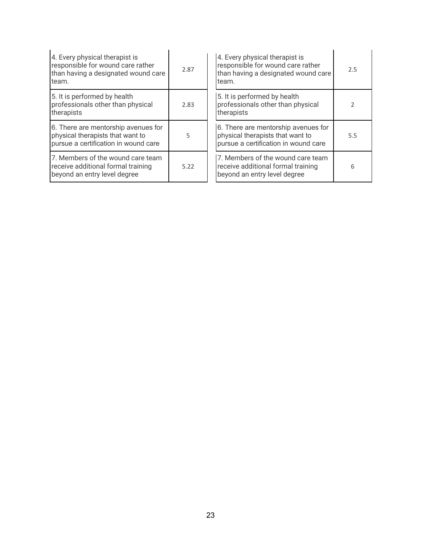| 4. Every physical therapist is<br>responsible for wound care rather<br>than having a designated wound care<br>team. | 2.87 | 4. Every physical therapist is<br>responsible for wound care rather<br>than having a designated wound care<br>team. | 2.5 |
|---------------------------------------------------------------------------------------------------------------------|------|---------------------------------------------------------------------------------------------------------------------|-----|
| 5. It is performed by health<br>professionals other than physical<br>therapists                                     | 2.83 | 5. It is performed by health<br>professionals other than physical<br>therapists                                     | 2   |
| 6. There are mentorship avenues for<br>physical therapists that want to<br>pursue a certification in wound care     | 5    | 6. There are mentorship avenues for<br>physical therapists that want to<br>pursue a certification in wound care     | 5.5 |
| 7. Members of the wound care team<br>receive additional formal training<br>beyond an entry level degree             | 5.22 | 7. Members of the wound care team<br>receive additional formal training<br>beyond an entry level degree             | 6   |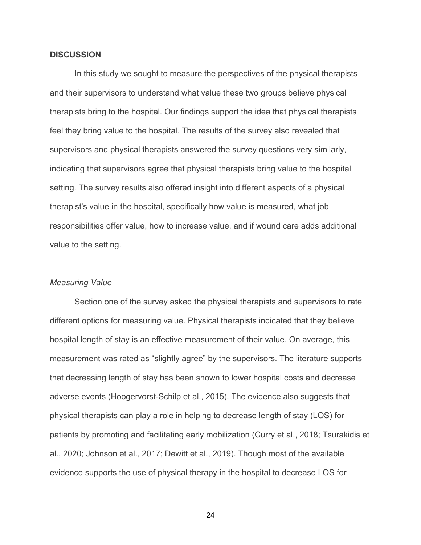### **DISCUSSION**

In this study we sought to measure the perspectives of the physical therapists and their supervisors to understand what value these two groups believe physical therapists bring to the hospital. Our findings support the idea that physical therapists feel they bring value to the hospital. The results of the survey also revealed that supervisors and physical therapists answered the survey questions very similarly, indicating that supervisors agree that physical therapists bring value to the hospital setting. The survey results also offered insight into different aspects of a physical therapist's value in the hospital, specifically how value is measured, what job responsibilities offer value, how to increase value, and if wound care adds additional value to the setting.

### *Measuring Value*

Section one of the survey asked the physical therapists and supervisors to rate different options for measuring value. Physical therapists indicated that they believe hospital length of stay is an effective measurement of their value. On average, this measurement was rated as "slightly agree" by the supervisors. The literature supports that decreasing length of stay has been shown to lower hospital costs and decrease adverse events (Hoogervorst-Schilp et al., 2015). The evidence also suggests that physical therapists can play a role in helping to decrease length of stay (LOS) for patients by promoting and facilitating early mobilization (Curry et al., 2018; Tsurakidis et al., 2020; Johnson et al., 2017; Dewitt et al., 2019). Though most of the available evidence supports the use of physical therapy in the hospital to decrease LOS for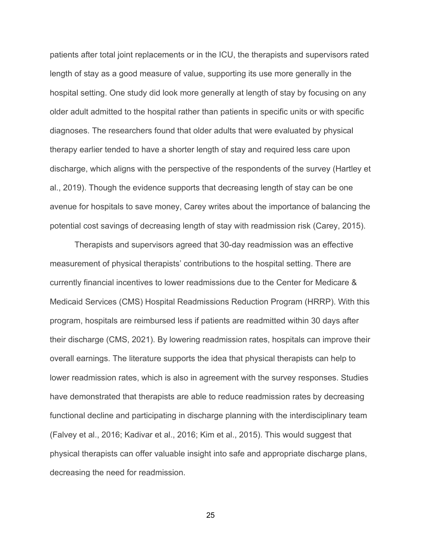patients after total joint replacements or in the ICU, the therapists and supervisors rated length of stay as a good measure of value, supporting its use more generally in the hospital setting. One study did look more generally at length of stay by focusing on any older adult admitted to the hospital rather than patients in specific units or with specific diagnoses. The researchers found that older adults that were evaluated by physical therapy earlier tended to have a shorter length of stay and required less care upon discharge, which aligns with the perspective of the respondents of the survey (Hartley et al., 2019). Though the evidence supports that decreasing length of stay can be one avenue for hospitals to save money, Carey writes about the importance of balancing the potential cost savings of decreasing length of stay with readmission risk (Carey, 2015).

Therapists and supervisors agreed that 30-day readmission was an effective measurement of physical therapists' contributions to the hospital setting. There are currently financial incentives to lower readmissions due to the Center for Medicare & Medicaid Services (CMS) Hospital Readmissions Reduction Program (HRRP). With this program, hospitals are reimbursed less if patients are readmitted within 30 days after their discharge (CMS, 2021). By lowering readmission rates, hospitals can improve their overall earnings. The literature supports the idea that physical therapists can help to lower readmission rates, which is also in agreement with the survey responses. Studies have demonstrated that therapists are able to reduce readmission rates by decreasing functional decline and participating in discharge planning with the interdisciplinary team (Falvey et al., 2016; Kadivar et al., 2016; Kim et al., 2015). This would suggest that physical therapists can offer valuable insight into safe and appropriate discharge plans, decreasing the need for readmission.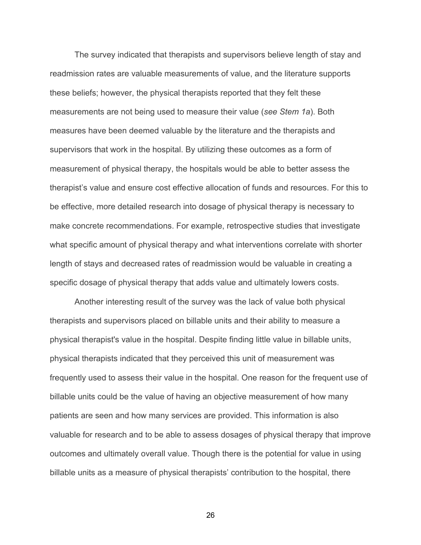The survey indicated that therapists and supervisors believe length of stay and readmission rates are valuable measurements of value, and the literature supports these beliefs; however, the physical therapists reported that they felt these measurements are not being used to measure their value (*see Stem 1a*). Both measures have been deemed valuable by the literature and the therapists and supervisors that work in the hospital. By utilizing these outcomes as a form of measurement of physical therapy, the hospitals would be able to better assess the therapist's value and ensure cost effective allocation of funds and resources. For this to be effective, more detailed research into dosage of physical therapy is necessary to make concrete recommendations. For example, retrospective studies that investigate what specific amount of physical therapy and what interventions correlate with shorter length of stays and decreased rates of readmission would be valuable in creating a specific dosage of physical therapy that adds value and ultimately lowers costs.

Another interesting result of the survey was the lack of value both physical therapists and supervisors placed on billable units and their ability to measure a physical therapist's value in the hospital. Despite finding little value in billable units, physical therapists indicated that they perceived this unit of measurement was frequently used to assess their value in the hospital. One reason for the frequent use of billable units could be the value of having an objective measurement of how many patients are seen and how many services are provided. This information is also valuable for research and to be able to assess dosages of physical therapy that improve outcomes and ultimately overall value. Though there is the potential for value in using billable units as a measure of physical therapists' contribution to the hospital, there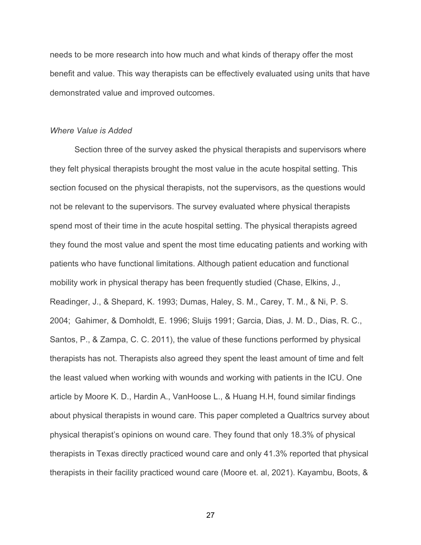needs to be more research into how much and what kinds of therapy offer the most benefit and value. This way therapists can be effectively evaluated using units that have demonstrated value and improved outcomes.

#### *Where Value is Added*

Section three of the survey asked the physical therapists and supervisors where they felt physical therapists brought the most value in the acute hospital setting. This section focused on the physical therapists, not the supervisors, as the questions would not be relevant to the supervisors. The survey evaluated where physical therapists spend most of their time in the acute hospital setting. The physical therapists agreed they found the most value and spent the most time educating patients and working with patients who have functional limitations. Although patient education and functional mobility work in physical therapy has been frequently studied (Chase, Elkins, J., Readinger, J., & Shepard, K. 1993; Dumas, Haley, S. M., Carey, T. M., & Ni, P. S. 2004; Gahimer, & Domholdt, E. 1996; Sluijs 1991; Garcia, Dias, J. M. D., Dias, R. C., Santos, P., & Zampa, C. C. 2011), the value of these functions performed by physical therapists has not. Therapists also agreed they spent the least amount of time and felt the least valued when working with wounds and working with patients in the ICU. One article by Moore K. D., Hardin A., VanHoose L., & Huang H.H, found similar findings about physical therapists in wound care. This paper completed a Qualtrics survey about physical therapist's opinions on wound care. They found that only 18.3% of physical therapists in Texas directly practiced wound care and only 41.3% reported that physical therapists in their facility practiced wound care (Moore et. al, 2021). Kayambu, Boots, &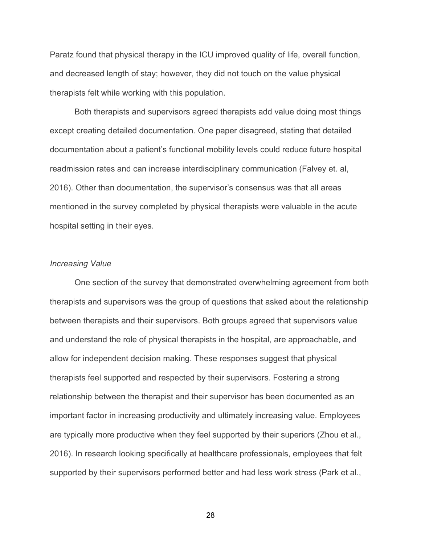Paratz found that physical therapy in the ICU improved quality of life, overall function, and decreased length of stay; however, they did not touch on the value physical therapists felt while working with this population.

Both therapists and supervisors agreed therapists add value doing most things except creating detailed documentation. One paper disagreed, stating that detailed documentation about a patient's functional mobility levels could reduce future hospital readmission rates and can increase interdisciplinary communication (Falvey et. al, 2016). Other than documentation, the supervisor's consensus was that all areas mentioned in the survey completed by physical therapists were valuable in the acute hospital setting in their eyes.

## *Increasing Value*

One section of the survey that demonstrated overwhelming agreement from both therapists and supervisors was the group of questions that asked about the relationship between therapists and their supervisors. Both groups agreed that supervisors value and understand the role of physical therapists in the hospital, are approachable, and allow for independent decision making. These responses suggest that physical therapists feel supported and respected by their supervisors. Fostering a strong relationship between the therapist and their supervisor has been documented as an important factor in increasing productivity and ultimately increasing value. Employees are typically more productive when they feel supported by their superiors (Zhou et al., 2016). In research looking specifically at healthcare professionals, employees that felt supported by their supervisors performed better and had less work stress (Park et al.,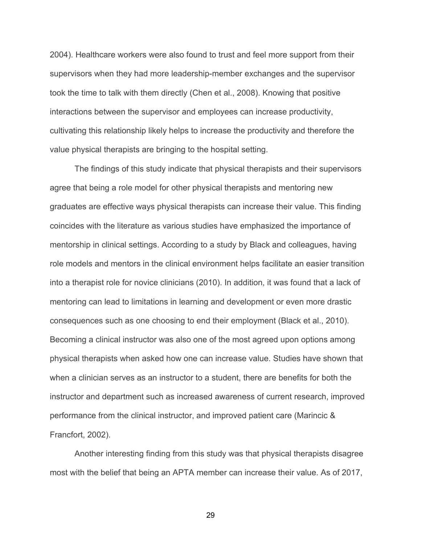2004). Healthcare workers were also found to trust and feel more support from their supervisors when they had more leadership-member exchanges and the supervisor took the time to talk with them directly (Chen et al., 2008). Knowing that positive interactions between the supervisor and employees can increase productivity, cultivating this relationship likely helps to increase the productivity and therefore the value physical therapists are bringing to the hospital setting.

The findings of this study indicate that physical therapists and their supervisors agree that being a role model for other physical therapists and mentoring new graduates are effective ways physical therapists can increase their value. This finding coincides with the literature as various studies have emphasized the importance of mentorship in clinical settings. According to a study by Black and colleagues, having role models and mentors in the clinical environment helps facilitate an easier transition into a therapist role for novice clinicians (2010). In addition, it was found that a lack of mentoring can lead to limitations in learning and development or even more drastic consequences such as one choosing to end their employment (Black et al., 2010). Becoming a clinical instructor was also one of the most agreed upon options among physical therapists when asked how one can increase value. Studies have shown that when a clinician serves as an instructor to a student, there are benefits for both the instructor and department such as increased awareness of current research, improved performance from the clinical instructor, and improved patient care (Marincic & Francfort, 2002).

Another interesting finding from this study was that physical therapists disagree most with the belief that being an APTA member can increase their value. As of 2017,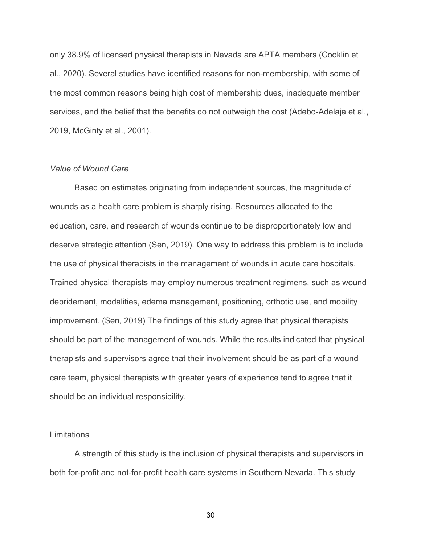only 38.9% of licensed physical therapists in Nevada are APTA members (Cooklin et al., 2020). Several studies have identified reasons for non-membership, with some of the most common reasons being high cost of membership dues, inadequate member services, and the belief that the benefits do not outweigh the cost (Adebo-Adelaja et al., 2019, McGinty et al., 2001).

### *Value of Wound Care*

Based on estimates originating from independent sources, the magnitude of wounds as a health care problem is sharply rising. Resources allocated to the education, care, and research of wounds continue to be disproportionately low and deserve strategic attention (Sen, 2019). One way to address this problem is to include the use of physical therapists in the management of wounds in acute care hospitals. Trained physical therapists may employ numerous treatment regimens, such as wound debridement, modalities, edema management, positioning, orthotic use, and mobility improvement. (Sen, 2019) The findings of this study agree that physical therapists should be part of the management of wounds. While the results indicated that physical therapists and supervisors agree that their involvement should be as part of a wound care team, physical therapists with greater years of experience tend to agree that it should be an individual responsibility.

### **Limitations**

A strength of this study is the inclusion of physical therapists and supervisors in both for-profit and not-for-profit health care systems in Southern Nevada. This study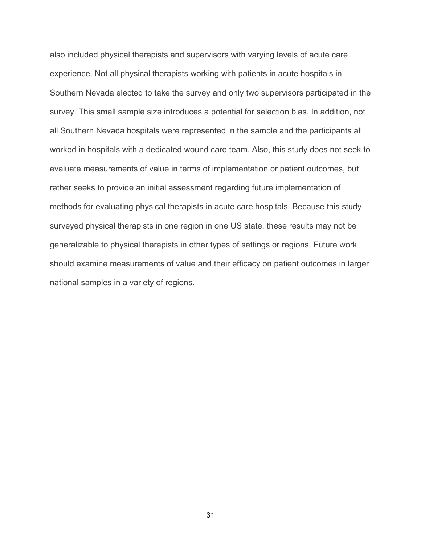also included physical therapists and supervisors with varying levels of acute care experience. Not all physical therapists working with patients in acute hospitals in Southern Nevada elected to take the survey and only two supervisors participated in the survey. This small sample size introduces a potential for selection bias. In addition, not all Southern Nevada hospitals were represented in the sample and the participants all worked in hospitals with a dedicated wound care team. Also, this study does not seek to evaluate measurements of value in terms of implementation or patient outcomes, but rather seeks to provide an initial assessment regarding future implementation of methods for evaluating physical therapists in acute care hospitals. Because this study surveyed physical therapists in one region in one US state, these results may not be generalizable to physical therapists in other types of settings or regions. Future work should examine measurements of value and their efficacy on patient outcomes in larger national samples in a variety of regions.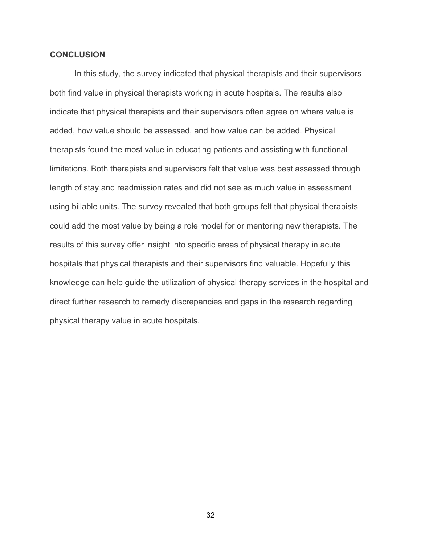# **CONCLUSION**

In this study, the survey indicated that physical therapists and their supervisors both find value in physical therapists working in acute hospitals. The results also indicate that physical therapists and their supervisors often agree on where value is added, how value should be assessed, and how value can be added. Physical therapists found the most value in educating patients and assisting with functional limitations. Both therapists and supervisors felt that value was best assessed through length of stay and readmission rates and did not see as much value in assessment using billable units. The survey revealed that both groups felt that physical therapists could add the most value by being a role model for or mentoring new therapists. The results of this survey offer insight into specific areas of physical therapy in acute hospitals that physical therapists and their supervisors find valuable. Hopefully this knowledge can help guide the utilization of physical therapy services in the hospital and direct further research to remedy discrepancies and gaps in the research regarding physical therapy value in acute hospitals.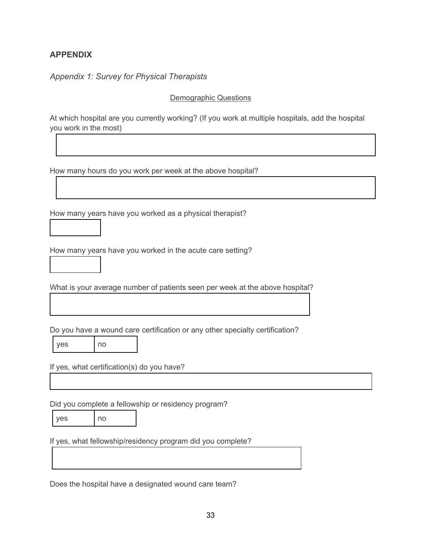# **APPENDIX**

1

1

*Appendix 1: Survey for Physical Therapists*

Demographic Questions

At which hospital are you currently working? (If you work at multiple hospitals, add the hospital you work in the most)

How many hours do you work per week at the above hospital?

How many years have you worked as a physical therapist?

How many years have you worked in the acute care setting?

What is your average number of patients seen per week at the above hospital?

Do you have a wound care certification or any other specialty certification?

yes no

If yes, what certification(s) do you have?

Did you complete a fellowship or residency program?

| yes |  |  |
|-----|--|--|
|-----|--|--|

 $n<sub>o</sub>$ 

If yes, what fellowship/residency program did you complete?

Does the hospital have a designated wound care team?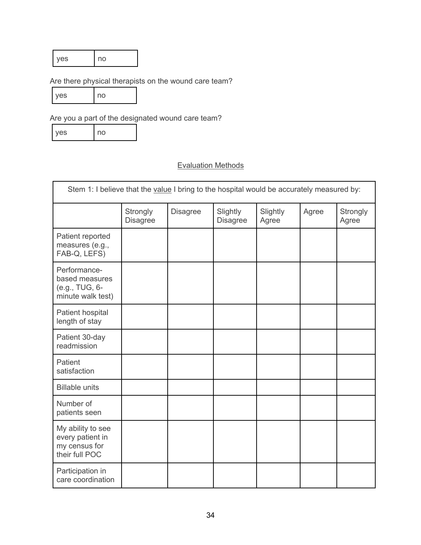# Are there physical therapists on the wound care team?

| VAS | no |
|-----|----|
|-----|----|

Are you a part of the designated wound care team?

| <b>yes</b> | l no |
|------------|------|
|------------|------|

# Evaluation Methods

| Stem 1: I believe that the value I bring to the hospital would be accurately measured by: |                             |                 |                             |                   |       |                   |
|-------------------------------------------------------------------------------------------|-----------------------------|-----------------|-----------------------------|-------------------|-------|-------------------|
|                                                                                           | Strongly<br><b>Disagree</b> | <b>Disagree</b> | Slightly<br><b>Disagree</b> | Slightly<br>Agree | Agree | Strongly<br>Agree |
| Patient reported<br>measures (e.g.,<br>FAB-Q, LEFS)                                       |                             |                 |                             |                   |       |                   |
| Performance-<br>based measures<br>(e.g., TUG, 6-<br>minute walk test)                     |                             |                 |                             |                   |       |                   |
| Patient hospital<br>length of stay                                                        |                             |                 |                             |                   |       |                   |
| Patient 30-day<br>readmission                                                             |                             |                 |                             |                   |       |                   |
| Patient<br>satisfaction                                                                   |                             |                 |                             |                   |       |                   |
| <b>Billable units</b>                                                                     |                             |                 |                             |                   |       |                   |
| Number of<br>patients seen                                                                |                             |                 |                             |                   |       |                   |
| My ability to see<br>every patient in<br>my census for<br>their full POC                  |                             |                 |                             |                   |       |                   |
| Participation in<br>care coordination                                                     |                             |                 |                             |                   |       |                   |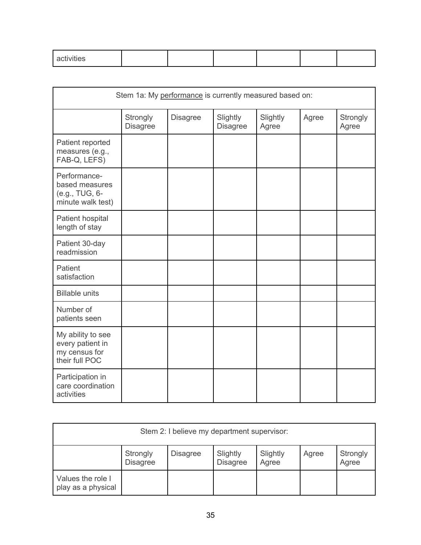| . .                                  |  |  |  |
|--------------------------------------|--|--|--|
| $\overline{\phantom{0}}$<br>$\cdots$ |  |  |  |
| _______                              |  |  |  |
|                                      |  |  |  |

| Stem 1a: My performance is currently measured based on:                  |                             |                 |                             |                   |       |                   |
|--------------------------------------------------------------------------|-----------------------------|-----------------|-----------------------------|-------------------|-------|-------------------|
|                                                                          | Strongly<br><b>Disagree</b> | <b>Disagree</b> | Slightly<br><b>Disagree</b> | Slightly<br>Agree | Agree | Strongly<br>Agree |
| Patient reported<br>measures (e.g.,<br>FAB-Q, LEFS)                      |                             |                 |                             |                   |       |                   |
| Performance-<br>based measures<br>(e.g., TUG, 6-<br>minute walk test)    |                             |                 |                             |                   |       |                   |
| Patient hospital<br>length of stay                                       |                             |                 |                             |                   |       |                   |
| Patient 30-day<br>readmission                                            |                             |                 |                             |                   |       |                   |
| Patient<br>satisfaction                                                  |                             |                 |                             |                   |       |                   |
| <b>Billable units</b>                                                    |                             |                 |                             |                   |       |                   |
| Number of<br>patients seen                                               |                             |                 |                             |                   |       |                   |
| My ability to see<br>every patient in<br>my census for<br>their full POC |                             |                 |                             |                   |       |                   |
| Participation in<br>care coordination<br>activities                      |                             |                 |                             |                   |       |                   |

| Stem 2: I believe my department supervisor: |                             |                 |                             |                   |       |                   |
|---------------------------------------------|-----------------------------|-----------------|-----------------------------|-------------------|-------|-------------------|
|                                             | Strongly<br><b>Disagree</b> | <b>Disagree</b> | Slightly<br><b>Disagree</b> | Slightly<br>Agree | Agree | Strongly<br>Agree |
| Values the role I<br>play as a physical     |                             |                 |                             |                   |       |                   |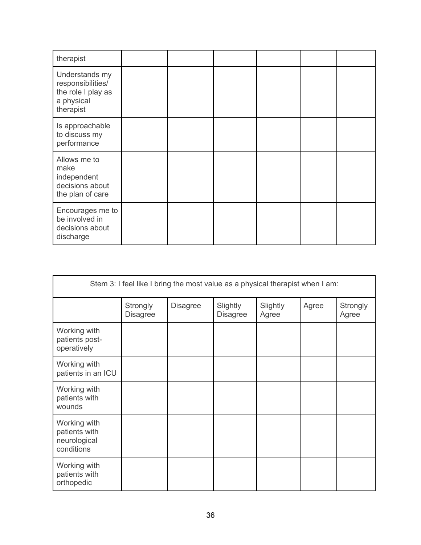| therapist                                                                            |  |  |  |
|--------------------------------------------------------------------------------------|--|--|--|
| Understands my<br>responsibilities/<br>the role I play as<br>a physical<br>therapist |  |  |  |
| Is approachable<br>to discuss my<br>performance                                      |  |  |  |
| Allows me to<br>make<br>independent<br>decisions about<br>the plan of care           |  |  |  |
| Encourages me to<br>be involved in<br>decisions about<br>discharge                   |  |  |  |

| Stem 3: I feel like I bring the most value as a physical therapist when I am: |                             |                 |                             |                   |       |                   |
|-------------------------------------------------------------------------------|-----------------------------|-----------------|-----------------------------|-------------------|-------|-------------------|
|                                                                               | Strongly<br><b>Disagree</b> | <b>Disagree</b> | Slightly<br><b>Disagree</b> | Slightly<br>Agree | Agree | Strongly<br>Agree |
| Working with<br>patients post-<br>operatively                                 |                             |                 |                             |                   |       |                   |
| Working with<br>patients in an ICU                                            |                             |                 |                             |                   |       |                   |
| Working with<br>patients with<br>wounds                                       |                             |                 |                             |                   |       |                   |
| Working with<br>patients with<br>neurological<br>conditions                   |                             |                 |                             |                   |       |                   |
| Working with<br>patients with<br>orthopedic                                   |                             |                 |                             |                   |       |                   |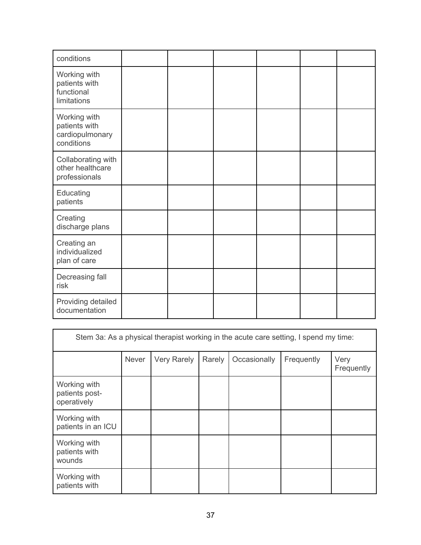| conditions                                                     |  |  |  |
|----------------------------------------------------------------|--|--|--|
| Working with<br>patients with<br>functional<br>limitations     |  |  |  |
| Working with<br>patients with<br>cardiopulmonary<br>conditions |  |  |  |
| Collaborating with<br>other healthcare<br>professionals        |  |  |  |
| Educating<br>patients                                          |  |  |  |
| Creating<br>discharge plans                                    |  |  |  |
| Creating an<br>individualized<br>plan of care                  |  |  |  |
| Decreasing fall<br>risk                                        |  |  |  |
| Providing detailed<br>documentation                            |  |  |  |

| Stem 3a: As a physical therapist working in the acute care setting, I spend my time: |       |             |        |              |            |                    |  |
|--------------------------------------------------------------------------------------|-------|-------------|--------|--------------|------------|--------------------|--|
|                                                                                      | Never | Very Rarely | Rarely | Occasionally | Frequently | Very<br>Frequently |  |
| Working with<br>patients post-<br>operatively                                        |       |             |        |              |            |                    |  |
| Working with<br>patients in an ICU                                                   |       |             |        |              |            |                    |  |
| Working with<br>patients with<br>wounds                                              |       |             |        |              |            |                    |  |
| Working with<br>patients with                                                        |       |             |        |              |            |                    |  |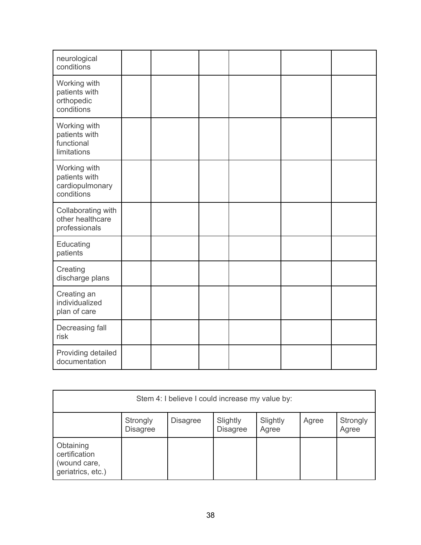| neurological<br>conditions                                     |  |  |  |
|----------------------------------------------------------------|--|--|--|
| Working with<br>patients with<br>orthopedic<br>conditions      |  |  |  |
| Working with<br>patients with<br>functional<br>limitations     |  |  |  |
| Working with<br>patients with<br>cardiopulmonary<br>conditions |  |  |  |
| Collaborating with<br>other healthcare<br>professionals        |  |  |  |
| Educating<br>patients                                          |  |  |  |
| Creating<br>discharge plans                                    |  |  |  |
| Creating an<br>individualized<br>plan of care                  |  |  |  |
| Decreasing fall<br>risk                                        |  |  |  |
| Providing detailed<br>documentation                            |  |  |  |

| Stem 4: I believe I could increase my value by:                 |                             |                 |                             |                   |       |                   |
|-----------------------------------------------------------------|-----------------------------|-----------------|-----------------------------|-------------------|-------|-------------------|
|                                                                 | Strongly<br><b>Disagree</b> | <b>Disagree</b> | Slightly<br><b>Disagree</b> | Slightly<br>Agree | Agree | Strongly<br>Agree |
| Obtaining<br>certification<br>(wound care,<br>geriatrics, etc.) |                             |                 |                             |                   |       |                   |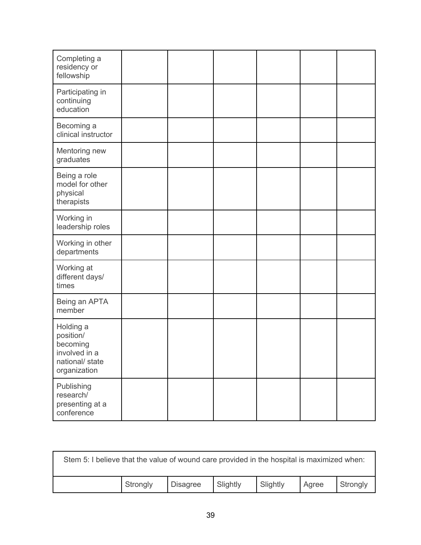| Completing a<br>residency or<br>fellowship                                             |  |  |  |
|----------------------------------------------------------------------------------------|--|--|--|
| Participating in<br>continuing<br>education                                            |  |  |  |
| Becoming a<br>clinical instructor                                                      |  |  |  |
| Mentoring new<br>graduates                                                             |  |  |  |
| Being a role<br>model for other<br>physical<br>therapists                              |  |  |  |
| Working in<br>leadership roles                                                         |  |  |  |
| Working in other<br>departments                                                        |  |  |  |
| Working at<br>different days/<br>times                                                 |  |  |  |
| Being an APTA<br>member                                                                |  |  |  |
| Holding a<br>position/<br>becoming<br>involved in a<br>national/ state<br>organization |  |  |  |
| Publishing<br>research/<br>presenting at a<br>conference                               |  |  |  |

| Stem 5: I believe that the value of wound care provided in the hospital is maximized when: |          |                 |          |          |       |          |
|--------------------------------------------------------------------------------------------|----------|-----------------|----------|----------|-------|----------|
|                                                                                            | Strongly | <b>Disagree</b> | Slightly | Slightly | Agree | Strongly |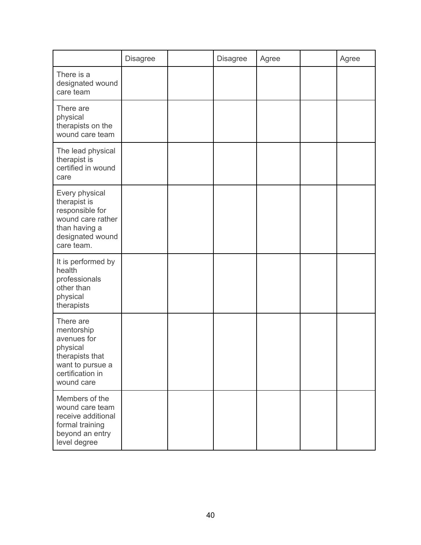|                                                                                                                             | <b>Disagree</b> | <b>Disagree</b> | Agree | Agree |
|-----------------------------------------------------------------------------------------------------------------------------|-----------------|-----------------|-------|-------|
| There is a<br>designated wound<br>care team                                                                                 |                 |                 |       |       |
| There are<br>physical<br>therapists on the<br>wound care team                                                               |                 |                 |       |       |
| The lead physical<br>therapist is<br>certified in wound<br>care                                                             |                 |                 |       |       |
| Every physical<br>therapist is<br>responsible for<br>wound care rather<br>than having a<br>designated wound<br>care team.   |                 |                 |       |       |
| It is performed by<br>health<br>professionals<br>other than<br>physical<br>therapists                                       |                 |                 |       |       |
| There are<br>mentorship<br>avenues for<br>physical<br>therapists that<br>want to pursue a<br>certification in<br>wound care |                 |                 |       |       |
| Members of the<br>wound care team<br>receive additional<br>formal training<br>beyond an entry<br>level degree               |                 |                 |       |       |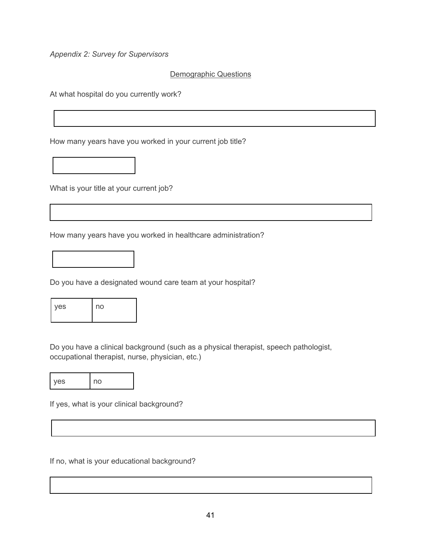*Appendix 2: Survey for Supervisors*

# Demographic Questions

At what hospital do you currently work?

How many years have you worked in your current job title?

What is your title at your current job?

How many years have you worked in healthcare administration?



Do you have a designated wound care team at your hospital?

| <b>ves</b> | no |
|------------|----|
|            |    |

Do you have a clinical background (such as a physical therapist, speech pathologist, occupational therapist, nurse, physician, etc.)

yes | no

If yes, what is your clinical background?

If no, what is your educational background?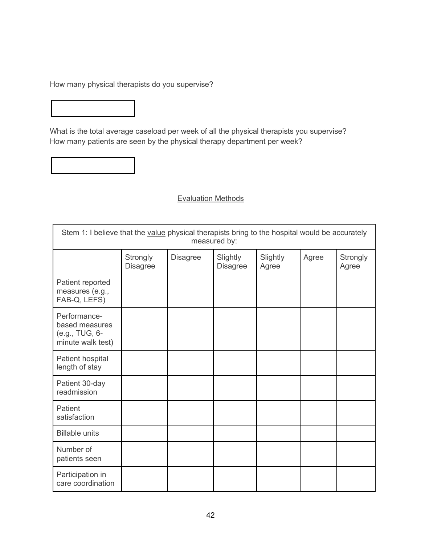How many physical therapists do you supervise?

What is the total average caseload per week of all the physical therapists you supervise? How many patients are seen by the physical therapy department per week?

# Evaluation Methods

| Stem 1: I believe that the value physical therapists bring to the hospital would be accurately<br>measured by: |                             |                 |                             |                   |       |                   |
|----------------------------------------------------------------------------------------------------------------|-----------------------------|-----------------|-----------------------------|-------------------|-------|-------------------|
|                                                                                                                | Strongly<br><b>Disagree</b> | <b>Disagree</b> | Slightly<br><b>Disagree</b> | Slightly<br>Agree | Agree | Strongly<br>Agree |
| Patient reported<br>measures (e.g.,<br>FAB-Q, LEFS)                                                            |                             |                 |                             |                   |       |                   |
| Performance-<br>based measures<br>(e.g., TUG, 6-<br>minute walk test)                                          |                             |                 |                             |                   |       |                   |
| Patient hospital<br>length of stay                                                                             |                             |                 |                             |                   |       |                   |
| Patient 30-day<br>readmission                                                                                  |                             |                 |                             |                   |       |                   |
| Patient<br>satisfaction                                                                                        |                             |                 |                             |                   |       |                   |
| <b>Billable units</b>                                                                                          |                             |                 |                             |                   |       |                   |
| Number of<br>patients seen                                                                                     |                             |                 |                             |                   |       |                   |
| Participation in<br>care coordination                                                                          |                             |                 |                             |                   |       |                   |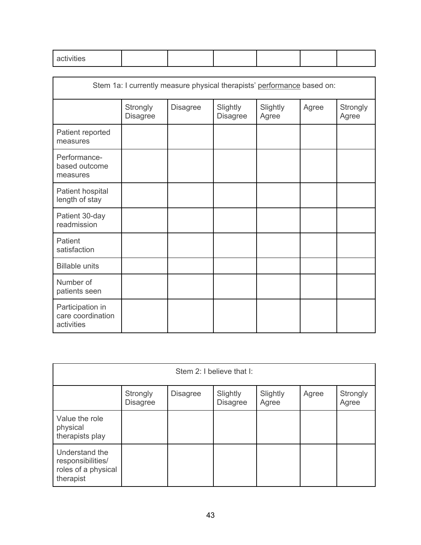| $\cdots$         |  |  |  |
|------------------|--|--|--|
| viiies<br>______ |  |  |  |
|                  |  |  |  |

|                                                     | Stem 1a: I currently measure physical therapists' performance based on: |                 |                             |                   |       |                   |
|-----------------------------------------------------|-------------------------------------------------------------------------|-----------------|-----------------------------|-------------------|-------|-------------------|
|                                                     | Strongly<br><b>Disagree</b>                                             | <b>Disagree</b> | Slightly<br><b>Disagree</b> | Slightly<br>Agree | Agree | Strongly<br>Agree |
| Patient reported<br>measures                        |                                                                         |                 |                             |                   |       |                   |
| Performance-<br>based outcome<br>measures           |                                                                         |                 |                             |                   |       |                   |
| Patient hospital<br>length of stay                  |                                                                         |                 |                             |                   |       |                   |
| Patient 30-day<br>readmission                       |                                                                         |                 |                             |                   |       |                   |
| Patient<br>satisfaction                             |                                                                         |                 |                             |                   |       |                   |
| <b>Billable units</b>                               |                                                                         |                 |                             |                   |       |                   |
| Number of<br>patients seen                          |                                                                         |                 |                             |                   |       |                   |
| Participation in<br>care coordination<br>activities |                                                                         |                 |                             |                   |       |                   |

| Stem 2: I believe that I:                                               |                             |                 |                             |                   |       |                   |
|-------------------------------------------------------------------------|-----------------------------|-----------------|-----------------------------|-------------------|-------|-------------------|
|                                                                         | Strongly<br><b>Disagree</b> | <b>Disagree</b> | Slightly<br><b>Disagree</b> | Slightly<br>Agree | Agree | Strongly<br>Agree |
| Value the role<br>physical<br>therapists play                           |                             |                 |                             |                   |       |                   |
| Understand the<br>responsibilities/<br>roles of a physical<br>therapist |                             |                 |                             |                   |       |                   |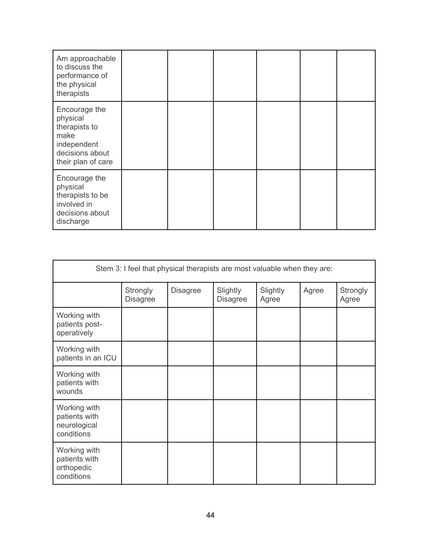| Am approachable<br>to discuss the<br>performance of<br>the physical<br>therapists                          |  |  |  |
|------------------------------------------------------------------------------------------------------------|--|--|--|
| Encourage the<br>physical<br>therapists to<br>make<br>independent<br>decisions about<br>their plan of care |  |  |  |
| Encourage the<br>physical<br>therapists to be<br>involved in<br>decisions about<br>discharge               |  |  |  |

| Stem 3: I feel that physical therapists are most valuable when they are: |                             |                 |                             |                   |       |                   |
|--------------------------------------------------------------------------|-----------------------------|-----------------|-----------------------------|-------------------|-------|-------------------|
|                                                                          | Strongly<br><b>Disagree</b> | <b>Disagree</b> | Slightly<br><b>Disagree</b> | Slightly<br>Agree | Agree | Strongly<br>Agree |
| Working with<br>patients post-<br>operatively                            |                             |                 |                             |                   |       |                   |
| Working with<br>patients in an ICU                                       |                             |                 |                             |                   |       |                   |
| Working with<br>patients with<br>wounds                                  |                             |                 |                             |                   |       |                   |
| Working with<br>patients with<br>neurological<br>conditions              |                             |                 |                             |                   |       |                   |
| Working with<br>patients with<br>orthopedic<br>conditions                |                             |                 |                             |                   |       |                   |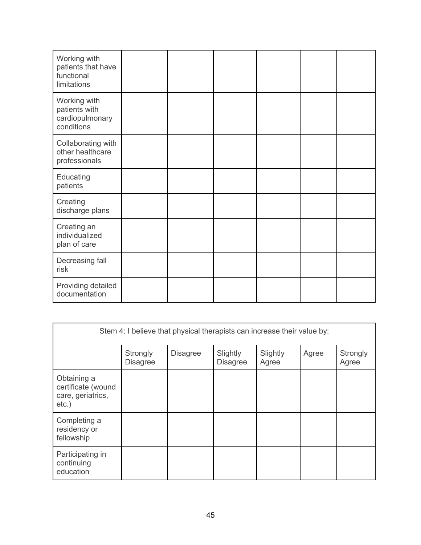| Working with<br>patients that have<br>functional<br>limitations |  |  |  |
|-----------------------------------------------------------------|--|--|--|
| Working with<br>patients with<br>cardiopulmonary<br>conditions  |  |  |  |
| Collaborating with<br>other healthcare<br>professionals         |  |  |  |
| Educating<br>patients                                           |  |  |  |
| Creating<br>discharge plans                                     |  |  |  |
| Creating an<br>individualized<br>plan of care                   |  |  |  |
| Decreasing fall<br>risk                                         |  |  |  |
| Providing detailed<br>documentation                             |  |  |  |

| Stem 4: I believe that physical therapists can increase their value by: |                             |                 |                             |                   |       |                   |
|-------------------------------------------------------------------------|-----------------------------|-----------------|-----------------------------|-------------------|-------|-------------------|
|                                                                         | Strongly<br><b>Disagree</b> | <b>Disagree</b> | Slightly<br><b>Disagree</b> | Slightly<br>Agree | Agree | Strongly<br>Agree |
| Obtaining a<br>certificate (wound<br>care, geriatrics,<br>$etc.$ )      |                             |                 |                             |                   |       |                   |
| Completing a<br>residency or<br>fellowship                              |                             |                 |                             |                   |       |                   |
| Participating in<br>continuing<br>education                             |                             |                 |                             |                   |       |                   |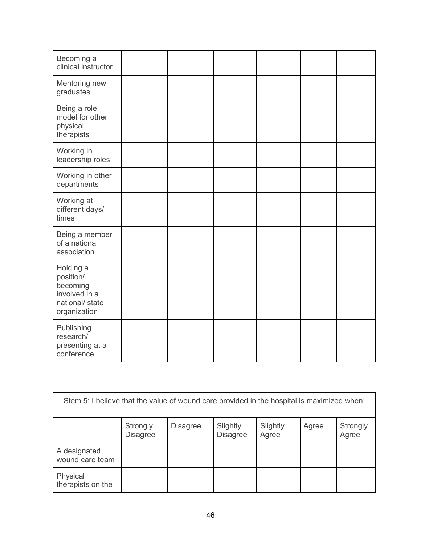| Becoming a<br>clinical instructor                                                      |  |  |  |
|----------------------------------------------------------------------------------------|--|--|--|
| Mentoring new<br>graduates                                                             |  |  |  |
| Being a role<br>model for other<br>physical<br>therapists                              |  |  |  |
| Working in<br>leadership roles                                                         |  |  |  |
| Working in other<br>departments                                                        |  |  |  |
| Working at<br>different days/<br>times                                                 |  |  |  |
| Being a member<br>of a national<br>association                                         |  |  |  |
| Holding a<br>position/<br>becoming<br>involved in a<br>national/ state<br>organization |  |  |  |
| Publishing<br>research/<br>presenting at a<br>conference                               |  |  |  |

| Stem 5: I believe that the value of wound care provided in the hospital is maximized when: |                             |                 |                             |                   |       |                   |
|--------------------------------------------------------------------------------------------|-----------------------------|-----------------|-----------------------------|-------------------|-------|-------------------|
|                                                                                            | Strongly<br><b>Disagree</b> | <b>Disagree</b> | Slightly<br><b>Disagree</b> | Slightly<br>Agree | Agree | Strongly<br>Agree |
| A designated<br>wound care team                                                            |                             |                 |                             |                   |       |                   |
| Physical<br>therapists on the                                                              |                             |                 |                             |                   |       |                   |

**F**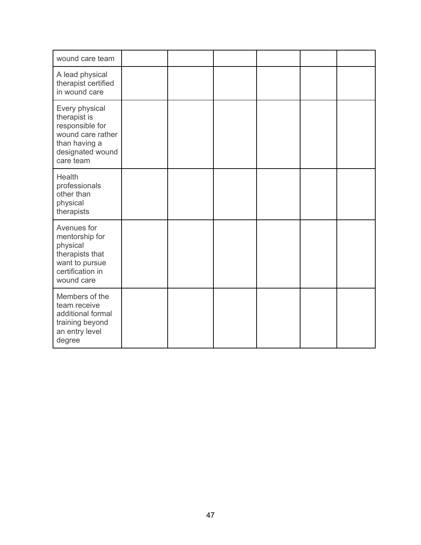| wound care team                                                                                                          |  |  |  |
|--------------------------------------------------------------------------------------------------------------------------|--|--|--|
| A lead physical<br>therapist certified<br>in wound care                                                                  |  |  |  |
| Every physical<br>therapist is<br>responsible for<br>wound care rather<br>than having a<br>designated wound<br>care team |  |  |  |
| Health<br>professionals<br>other than<br>physical<br>therapists                                                          |  |  |  |
| Avenues for<br>mentorship for<br>physical<br>therapists that<br>want to pursue<br>certification in<br>wound care         |  |  |  |
| Members of the<br>team receive<br>additional formal<br>training beyond<br>an entry level<br>degree                       |  |  |  |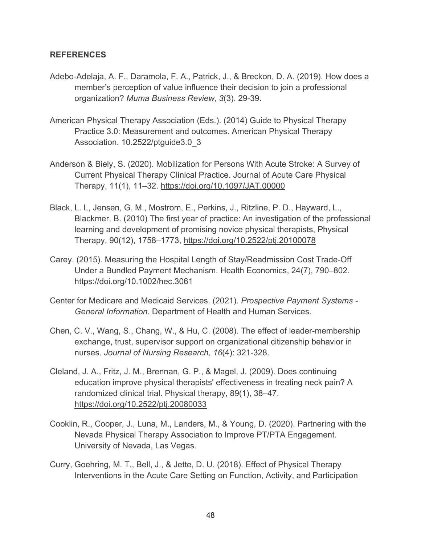# **REFERENCES**

- Adebo-Adelaja, A. F., Daramola, F. A., Patrick, J., & Breckon, D. A. (2019). How does a member's perception of value influence their decision to join a professional organization? *Muma Business Review, 3*(3). 29-39.
- American Physical Therapy Association (Eds.). (2014) Guide to Physical Therapy Practice 3.0: Measurement and outcomes. American Physical Therapy Association. 10.2522/ptguide3.0\_3
- Anderson & Biely, S. (2020). Mobilization for Persons With Acute Stroke: A Survey of Current Physical Therapy Clinical Practice. Journal of Acute Care Physical Therapy, 11(1), 11–32. https://doi.org/10.1097/JAT.00000
- Black, L. L, Jensen, G. M., Mostrom, E., Perkins, J., Ritzline, P. D., Hayward, L., Blackmer, B. (2010) The first year of practice: An investigation of the professional learning and development of promising novice physical therapists, Physical Therapy, 90(12), 1758–1773, https://doi.org/10.2522/ptj.20100078
- Carey. (2015). Measuring the Hospital Length of Stay/Readmission Cost Trade-Off Under a Bundled Payment Mechanism. Health Economics, 24(7), 790–802. https://doi.org/10.1002/hec.3061
- Center for Medicare and Medicaid Services. (2021). *Prospective Payment Systems - General Information*. Department of Health and Human Services.
- Chen, C. V., Wang, S., Chang, W., & Hu, C. (2008). The effect of leader-membership exchange, trust, supervisor support on organizational citizenship behavior in nurses. *Journal of Nursing Research, 16*(4): 321-328.
- Cleland, J. A., Fritz, J. M., Brennan, G. P., & Magel, J. (2009). Does continuing education improve physical therapists' effectiveness in treating neck pain? A randomized clinical trial. Physical therapy, 89(1), 38–47. https://doi.org/10.2522/ptj.20080033
- Cooklin, R., Cooper, J., Luna, M., Landers, M., & Young, D. (2020). Partnering with the Nevada Physical Therapy Association to Improve PT/PTA Engagement. University of Nevada, Las Vegas.
- Curry, Goehring, M. T., Bell, J., & Jette, D. U. (2018). Effect of Physical Therapy Interventions in the Acute Care Setting on Function, Activity, and Participation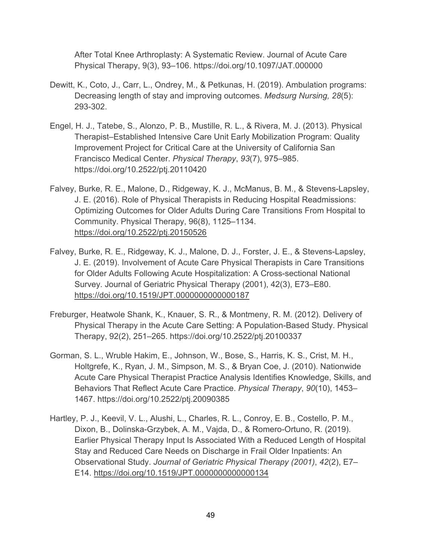After Total Knee Arthroplasty: A Systematic Review. Journal of Acute Care Physical Therapy, 9(3), 93–106. https://doi.org/10.1097/JAT.000000

- Dewitt, K., Coto, J., Carr, L., Ondrey, M., & Petkunas, H. (2019). Ambulation programs: Decreasing length of stay and improving outcomes. *Medsurg Nursing, 28*(5): 293-302.
- Engel, H. J., Tatebe, S., Alonzo, P. B., Mustille, R. L., & Rivera, M. J. (2013). Physical Therapist–Established Intensive Care Unit Early Mobilization Program: Quality Improvement Project for Critical Care at the University of California San Francisco Medical Center. *Physical Therapy*, *93*(7), 975–985. https://doi.org/10.2522/ptj.20110420
- Falvey, Burke, R. E., Malone, D., Ridgeway, K. J., McManus, B. M., & Stevens-Lapsley, J. E. (2016). Role of Physical Therapists in Reducing Hospital Readmissions: Optimizing Outcomes for Older Adults During Care Transitions From Hospital to Community. Physical Therapy, 96(8), 1125–1134. https://doi.org/10.2522/ptj.20150526
- Falvey, Burke, R. E., Ridgeway, K. J., Malone, D. J., Forster, J. E., & Stevens-Lapsley, J. E. (2019). Involvement of Acute Care Physical Therapists in Care Transitions for Older Adults Following Acute Hospitalization: A Cross-sectional National Survey. Journal of Geriatric Physical Therapy (2001), 42(3), E73–E80. https://doi.org/10.1519/JPT.0000000000000187
- Freburger, Heatwole Shank, K., Knauer, S. R., & Montmeny, R. M. (2012). Delivery of Physical Therapy in the Acute Care Setting: A Population-Based Study. Physical Therapy, 92(2), 251–265. https://doi.org/10.2522/ptj.20100337
- Gorman, S. L., Wruble Hakim, E., Johnson, W., Bose, S., Harris, K. S., Crist, M. H., Holtgrefe, K., Ryan, J. M., Simpson, M. S., & Bryan Coe, J. (2010). Nationwide Acute Care Physical Therapist Practice Analysis Identifies Knowledge, Skills, and Behaviors That Reflect Acute Care Practice. *Physical Therapy*, *90*(10), 1453– 1467. https://doi.org/10.2522/ptj.20090385
- Hartley, P. J., Keevil, V. L., Alushi, L., Charles, R. L., Conroy, E. B., Costello, P. M., Dixon, B., Dolinska-Grzybek, A. M., Vajda, D., & Romero-Ortuno, R. (2019). Earlier Physical Therapy Input Is Associated With a Reduced Length of Hospital Stay and Reduced Care Needs on Discharge in Frail Older Inpatients: An Observational Study. *Journal of Geriatric Physical Therapy (2001)*, *42*(2), E7– E14. https://doi.org/10.1519/JPT.0000000000000134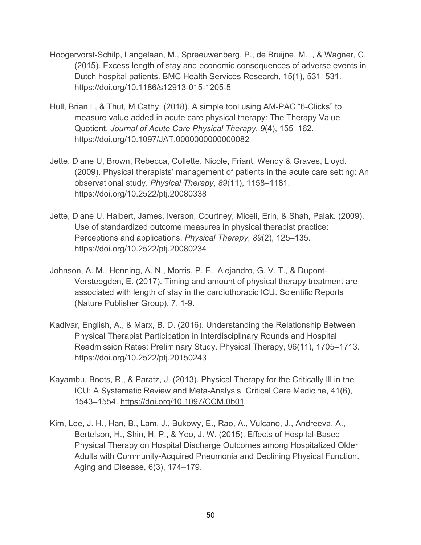- Hoogervorst-Schilp, Langelaan, M., Spreeuwenberg, P., de Bruijne, M. ., & Wagner, C. (2015). Excess length of stay and economic consequences of adverse events in Dutch hospital patients. BMC Health Services Research, 15(1), 531–531. https://doi.org/10.1186/s12913-015-1205-5
- Hull, Brian L, & Thut, M Cathy. (2018). A simple tool using AM-PAC "6-Clicks" to measure value added in acute care physical therapy: The Therapy Value Quotient. *Journal of Acute Care Physical Therapy*, *9*(4), 155–162. https://doi.org/10.1097/JAT.0000000000000082
- Jette, Diane U, Brown, Rebecca, Collette, Nicole, Friant, Wendy & Graves, Lloyd. (2009). Physical therapists' management of patients in the acute care setting: An observational study. *Physical Therapy*, *89*(11), 1158–1181. https://doi.org/10.2522/ptj.20080338
- Jette, Diane U, Halbert, James, Iverson, Courtney, Miceli, Erin, & Shah, Palak. (2009). Use of standardized outcome measures in physical therapist practice: Perceptions and applications. *Physical Therapy*, *89*(2), 125–135. https://doi.org/10.2522/ptj.20080234
- Johnson, A. M., Henning, A. N., Morris, P. E., Alejandro, G. V. T., & Dupont-Versteegden, E. (2017). Timing and amount of physical therapy treatment are associated with length of stay in the cardiothoracic ICU. Scientific Reports (Nature Publisher Group), 7, 1-9.
- Kadivar, English, A., & Marx, B. D. (2016). Understanding the Relationship Between Physical Therapist Participation in Interdisciplinary Rounds and Hospital Readmission Rates: Preliminary Study. Physical Therapy, 96(11), 1705–1713. https://doi.org/10.2522/ptj.20150243
- Kayambu, Boots, R., & Paratz, J. (2013). Physical Therapy for the Critically Ill in the ICU: A Systematic Review and Meta-Analysis. Critical Care Medicine, 41(6), 1543–1554. https://doi.org/10.1097/CCM.0b01
- Kim, Lee, J. H., Han, B., Lam, J., Bukowy, E., Rao, A., Vulcano, J., Andreeva, A., Bertelson, H., Shin, H. P., & Yoo, J. W. (2015). Effects of Hospital-Based Physical Therapy on Hospital Discharge Outcomes among Hospitalized Older Adults with Community-Acquired Pneumonia and Declining Physical Function. Aging and Disease, 6(3), 174–179.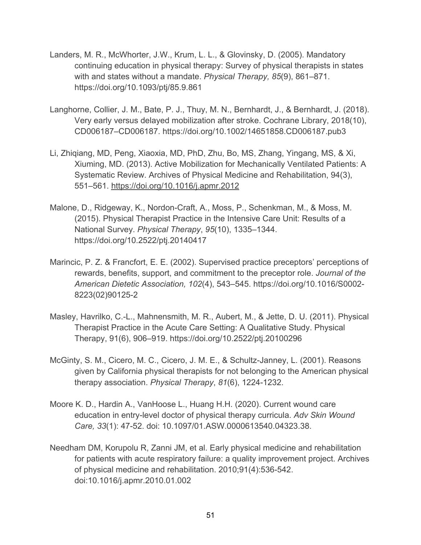- Landers, M. R., McWhorter, J.W., Krum, L. L., & Glovinsky, D. (2005). Mandatory continuing education in physical therapy: Survey of physical therapists in states with and states without a mandate. *Physical Therapy, 85*(9), 861–871. https://doi.org/10.1093/ptj/85.9.861
- Langhorne, Collier, J. M., Bate, P. J., Thuy, M. N., Bernhardt, J., & Bernhardt, J. (2018). Very early versus delayed mobilization after stroke. Cochrane Library, 2018(10), CD006187–CD006187. https://doi.org/10.1002/14651858.CD006187.pub3
- Li, Zhiqiang, MD, Peng, Xiaoxia, MD, PhD, Zhu, Bo, MS, Zhang, Yingang, MS, & Xi, Xiuming, MD. (2013). Active Mobilization for Mechanically Ventilated Patients: A Systematic Review. Archives of Physical Medicine and Rehabilitation, 94(3), 551–561. https://doi.org/10.1016/j.apmr.2012
- Malone, D., Ridgeway, K., Nordon-Craft, A., Moss, P., Schenkman, M., & Moss, M. (2015). Physical Therapist Practice in the Intensive Care Unit: Results of a National Survey. *Physical Therapy*, *95*(10), 1335–1344. https://doi.org/10.2522/ptj.20140417
- Marincic, P. Z. & Francfort, E. E. (2002). Supervised practice preceptors' perceptions of rewards, benefits, support, and commitment to the preceptor role. *Journal of the American Dietetic Association, 102*(4), 543–545. https://doi.org/10.1016/S0002- 8223(02)90125-2
- Masley, Havrilko, C.-L., Mahnensmith, M. R., Aubert, M., & Jette, D. U. (2011). Physical Therapist Practice in the Acute Care Setting: A Qualitative Study. Physical Therapy, 91(6), 906–919. https://doi.org/10.2522/ptj.20100296
- McGinty, S. M., Cicero, M. C., Cicero, J. M. E., & Schultz-Janney, L. (2001). Reasons given by California physical therapists for not belonging to the American physical therapy association. *Physical Therapy*, *81*(6), 1224-1232.
- Moore K. D., Hardin A., VanHoose L., Huang H.H. (2020). Current wound care education in entry-level doctor of physical therapy curricula. *Adv Skin Wound Care, 33*(1): 47-52. doi: 10.1097/01.ASW.0000613540.04323.38.
- Needham DM, Korupolu R, Zanni JM, et al. Early physical medicine and rehabilitation for patients with acute respiratory failure: a quality improvement project. Archives of physical medicine and rehabilitation. 2010;91(4):536-542. doi:10.1016/j.apmr.2010.01.002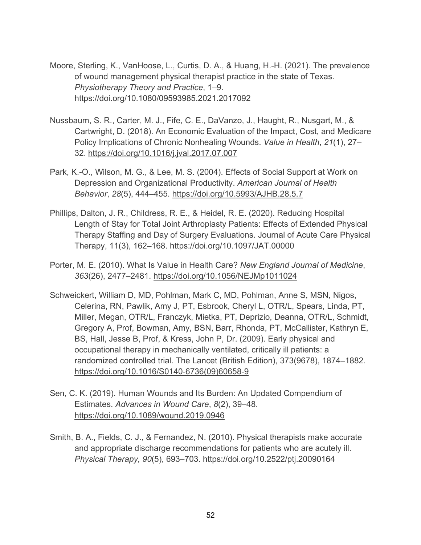- Moore, Sterling, K., VanHoose, L., Curtis, D. A., & Huang, H.-H. (2021). The prevalence of wound management physical therapist practice in the state of Texas. *Physiotherapy Theory and Practice*, 1–9. https://doi.org/10.1080/09593985.2021.2017092
- Nussbaum, S. R., Carter, M. J., Fife, C. E., DaVanzo, J., Haught, R., Nusgart, M., & Cartwright, D. (2018). An Economic Evaluation of the Impact, Cost, and Medicare Policy Implications of Chronic Nonhealing Wounds. *Value in Health*, *21*(1), 27– 32. https://doi.org/10.1016/j.jval.2017.07.007
- Park, K.-O., Wilson, M. G., & Lee, M. S. (2004). Effects of Social Support at Work on Depression and Organizational Productivity. *American Journal of Health Behavior*, *28*(5), 444–455. https://doi.org/10.5993/AJHB.28.5.7
- Phillips, Dalton, J. R., Childress, R. E., & Heidel, R. E. (2020). Reducing Hospital Length of Stay for Total Joint Arthroplasty Patients: Effects of Extended Physical Therapy Staffing and Day of Surgery Evaluations. Journal of Acute Care Physical Therapy, 11(3), 162–168. https://doi.org/10.1097/JAT.00000
- Porter, M. E. (2010). What Is Value in Health Care? *New England Journal of Medicine*, *363*(26), 2477–2481. https://doi.org/10.1056/NEJMp1011024
- Schweickert, William D, MD, Pohlman, Mark C, MD, Pohlman, Anne S, MSN, Nigos, Celerina, RN, Pawlik, Amy J, PT, Esbrook, Cheryl L, OTR/L, Spears, Linda, PT, Miller, Megan, OTR/L, Franczyk, Mietka, PT, Deprizio, Deanna, OTR/L, Schmidt, Gregory A, Prof, Bowman, Amy, BSN, Barr, Rhonda, PT, McCallister, Kathryn E, BS, Hall, Jesse B, Prof, & Kress, John P, Dr. (2009). Early physical and occupational therapy in mechanically ventilated, critically ill patients: a randomized controlled trial. The Lancet (British Edition), 373(9678), 1874–1882. https://doi.org/10.1016/S0140-6736(09)60658-9
- Sen, C. K. (2019). Human Wounds and Its Burden: An Updated Compendium of Estimates. *Advances in Wound Care*, *8*(2), 39–48. https://doi.org/10.1089/wound.2019.0946
- Smith, B. A., Fields, C. J., & Fernandez, N. (2010). Physical therapists make accurate and appropriate discharge recommendations for patients who are acutely ill. *Physical Therapy, 90*(5), 693–703. https://doi.org/10.2522/ptj.20090164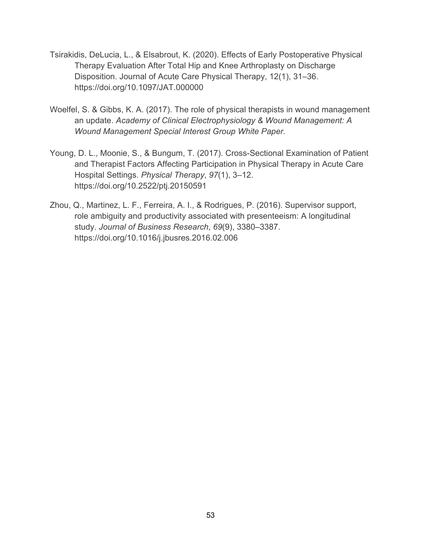- Tsirakidis, DeLucia, L., & Elsabrout, K. (2020). Effects of Early Postoperative Physical Therapy Evaluation After Total Hip and Knee Arthroplasty on Discharge Disposition. Journal of Acute Care Physical Therapy, 12(1), 31–36. https://doi.org/10.1097/JAT.000000
- Woelfel, S. & Gibbs, K. A. (2017). The role of physical therapists in wound management an update. *Academy of Clinical Electrophysiology & Wound Management: A Wound Management Special Interest Group White Paper.*
- Young, D. L., Moonie, S., & Bungum, T. (2017). Cross-Sectional Examination of Patient and Therapist Factors Affecting Participation in Physical Therapy in Acute Care Hospital Settings. *Physical Therapy*, *97*(1), 3–12. https://doi.org/10.2522/ptj.20150591
- Zhou, Q., Martinez, L. F., Ferreira, A. I., & Rodrigues, P. (2016). Supervisor support, role ambiguity and productivity associated with presenteeism: A longitudinal study. *Journal of Business Research*, *69*(9), 3380–3387. https://doi.org/10.1016/j.jbusres.2016.02.006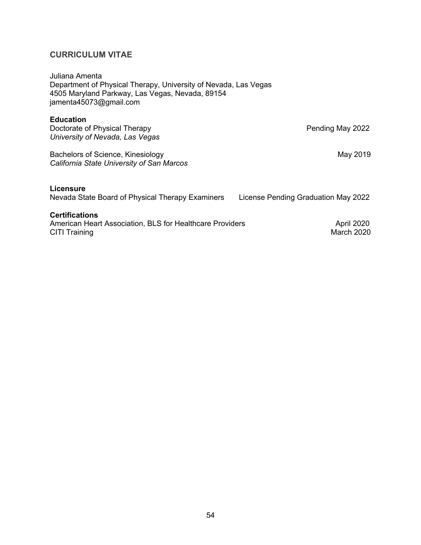Juliana Amenta Department of Physical Therapy, University of Nevada, Las Vegas 4505 Maryland Parkway, Las Vegas, Nevada, 89154 jamenta45073@gmail.com

# **Education**

Doctorate of Physical Therapy **Pending May 2022** *University of Nevada, Las Vegas* 

Bachelors of Science, Kinesiology May 2019 *California State University of San Marcos*

# **Licensure**

Nevada State Board of Physical Therapy Examiners License Pending Graduation May 2022

# **Certifications**

American Heart Association, BLS for Healthcare Providers<br>CITI Training March 2020 CITI Training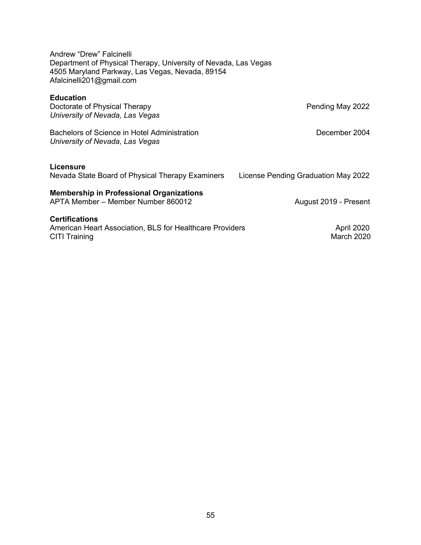Andrew "Drew" Falcinelli Department of Physical Therapy, University of Nevada, Las Vegas 4505 Maryland Parkway, Las Vegas, Nevada, 89154 Afalcinelli201@gmail.com

# **Education**

| Doctorate of Physical Therapy<br>University of Nevada, Las Vegas                                          | Pending May 2022                    |
|-----------------------------------------------------------------------------------------------------------|-------------------------------------|
| Bachelors of Science in Hotel Administration<br>University of Nevada, Las Vegas                           | December 2004                       |
| <b>Licensure</b><br>Nevada State Board of Physical Therapy Examiners                                      | License Pending Graduation May 2022 |
| <b>Membership in Professional Organizations</b><br>APTA Member - Member Number 860012                     | August 2019 - Present               |
| <b>Certifications</b><br>American Heart Association, BLS for Healthcare Providers<br><b>CITI Training</b> | April 2020<br>March 2020            |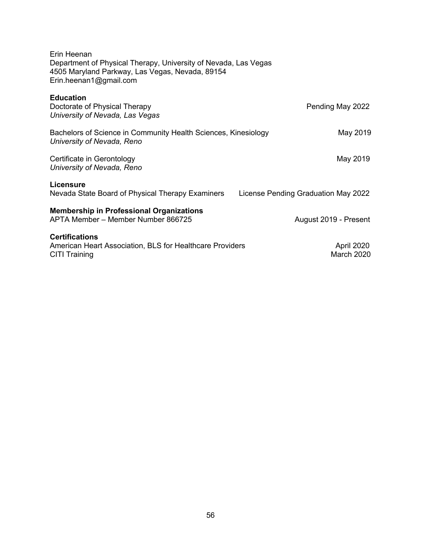| Erin Heenan<br>Department of Physical Therapy, University of Nevada, Las Vegas<br>4505 Maryland Parkway, Las Vegas, Nevada, 89154<br>Erin.heenan1@gmail.com |                                     |
|-------------------------------------------------------------------------------------------------------------------------------------------------------------|-------------------------------------|
| <b>Education</b><br>Doctorate of Physical Therapy<br>University of Nevada, Las Vegas                                                                        | Pending May 2022                    |
| Bachelors of Science in Community Health Sciences, Kinesiology<br>University of Nevada, Reno                                                                | May 2019                            |
| Certificate in Gerontology<br>University of Nevada, Reno                                                                                                    | May 2019                            |
| <b>Licensure</b><br>Nevada State Board of Physical Therapy Examiners                                                                                        | License Pending Graduation May 2022 |
| <b>Membership in Professional Organizations</b><br>APTA Member - Member Number 866725                                                                       | August 2019 - Present               |
| <b>Certifications</b><br>American Heart Association, BLS for Healthcare Providers<br><b>CITI Training</b>                                                   | April 2020<br>March 2020            |